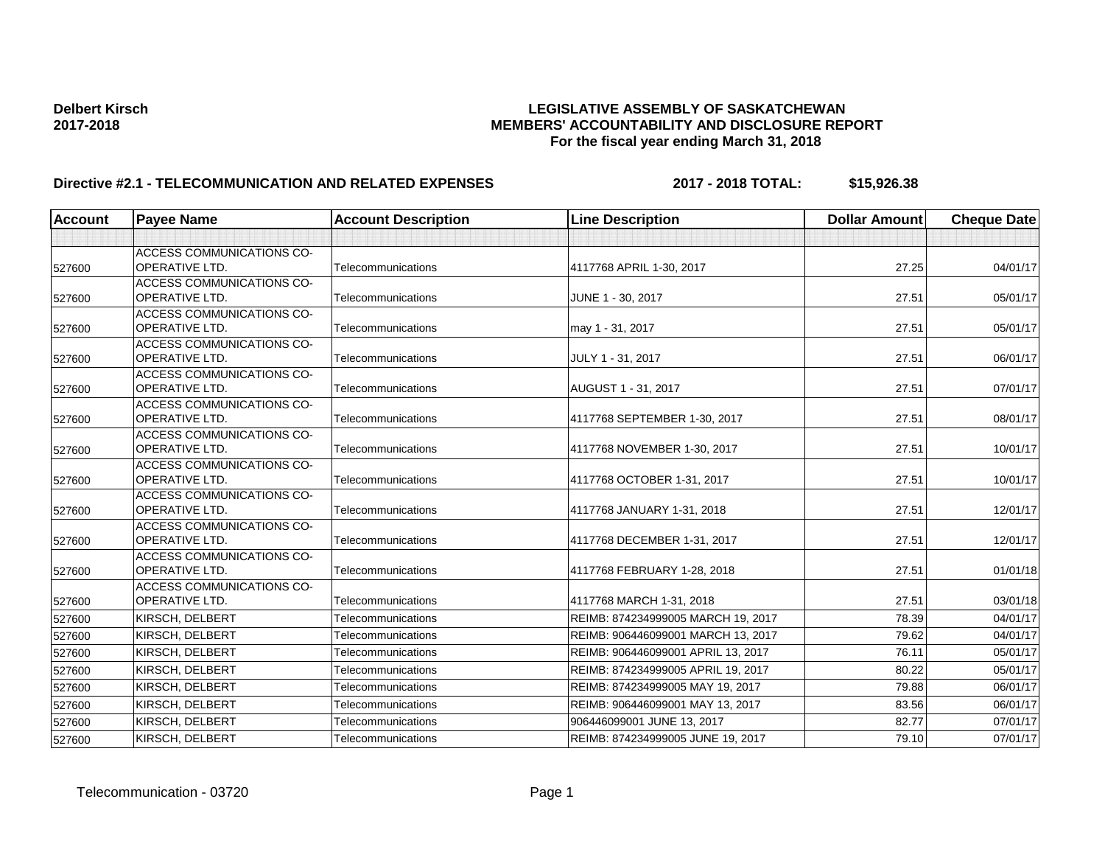| <b>Account</b> | <b>Payee Name</b>                                         | <b>Account Description</b> | <b>Line Description</b>            | <b>Dollar Amount</b> | <b>Cheque Date</b> |
|----------------|-----------------------------------------------------------|----------------------------|------------------------------------|----------------------|--------------------|
|                |                                                           |                            |                                    |                      |                    |
| 527600         | <b>ACCESS COMMUNICATIONS CO-</b><br><b>OPERATIVE LTD.</b> | Telecommunications         | 4117768 APRIL 1-30, 2017           | 27.25                | 04/01/17           |
| 527600         | <b>ACCESS COMMUNICATIONS CO-</b><br><b>OPERATIVE LTD.</b> | Telecommunications         | JUNE 1 - 30, 2017                  | 27.51                | 05/01/17           |
| 527600         | <b>ACCESS COMMUNICATIONS CO-</b><br><b>OPERATIVE LTD.</b> | Telecommunications         | may 1 - 31, 2017                   | 27.51                | 05/01/17           |
| 527600         | <b>ACCESS COMMUNICATIONS CO-</b><br><b>OPERATIVE LTD.</b> | Telecommunications         | JULY 1 - 31, 2017                  | 27.51                | 06/01/17           |
| 527600         | <b>ACCESS COMMUNICATIONS CO-</b><br>OPERATIVE LTD.        | Telecommunications         | AUGUST 1 - 31, 2017                | 27.51                | 07/01/17           |
| 527600         | <b>ACCESS COMMUNICATIONS CO-</b><br><b>OPERATIVE LTD.</b> | Telecommunications         | 4117768 SEPTEMBER 1-30, 2017       | 27.51                | 08/01/17           |
| 527600         | <b>ACCESS COMMUNICATIONS CO-</b><br><b>OPERATIVE LTD.</b> | Telecommunications         | 4117768 NOVEMBER 1-30, 2017        | 27.51                | 10/01/17           |
| 527600         | <b>ACCESS COMMUNICATIONS CO-</b><br><b>OPERATIVE LTD.</b> | Telecommunications         | 4117768 OCTOBER 1-31, 2017         | 27.51                | 10/01/17           |
| 527600         | <b>ACCESS COMMUNICATIONS CO-</b><br>OPERATIVE LTD.        | Telecommunications         | 4117768 JANUARY 1-31, 2018         | 27.51                | 12/01/17           |
| 527600         | <b>ACCESS COMMUNICATIONS CO-</b><br><b>OPERATIVE LTD.</b> | Telecommunications         | 4117768 DECEMBER 1-31, 2017        | 27.51                | 12/01/17           |
| 527600         | <b>ACCESS COMMUNICATIONS CO-</b><br><b>OPERATIVE LTD.</b> | Telecommunications         | 4117768 FEBRUARY 1-28, 2018        | 27.51                | 01/01/18           |
| 527600         | <b>ACCESS COMMUNICATIONS CO-</b><br><b>OPERATIVE LTD.</b> | Telecommunications         | 4117768 MARCH 1-31, 2018           | 27.51                | 03/01/18           |
| 527600         | <b>KIRSCH, DELBERT</b>                                    | Telecommunications         | REIMB: 874234999005 MARCH 19, 2017 | 78.39                | 04/01/17           |
| 527600         | KIRSCH, DELBERT                                           | Telecommunications         | REIMB: 906446099001 MARCH 13, 2017 | 79.62                | 04/01/17           |
| 527600         | KIRSCH, DELBERT                                           | Telecommunications         | REIMB: 906446099001 APRIL 13, 2017 | 76.11                | 05/01/17           |
| 527600         | KIRSCH, DELBERT                                           | Telecommunications         | REIMB: 874234999005 APRIL 19, 2017 | 80.22                | 05/01/17           |
| 527600         | KIRSCH, DELBERT                                           | Telecommunications         | REIMB: 874234999005 MAY 19, 2017   | 79.88                | 06/01/17           |
| 527600         | KIRSCH, DELBERT                                           | Telecommunications         | REIMB: 906446099001 MAY 13, 2017   | 83.56                | 06/01/17           |
| 527600         | KIRSCH, DELBERT                                           | Telecommunications         | 906446099001 JUNE 13, 2017         | 82.77                | 07/01/17           |
| 527600         | KIRSCH, DELBERT                                           | Telecommunications         | REIMB: 874234999005 JUNE 19, 2017  | 79.10                | 07/01/17           |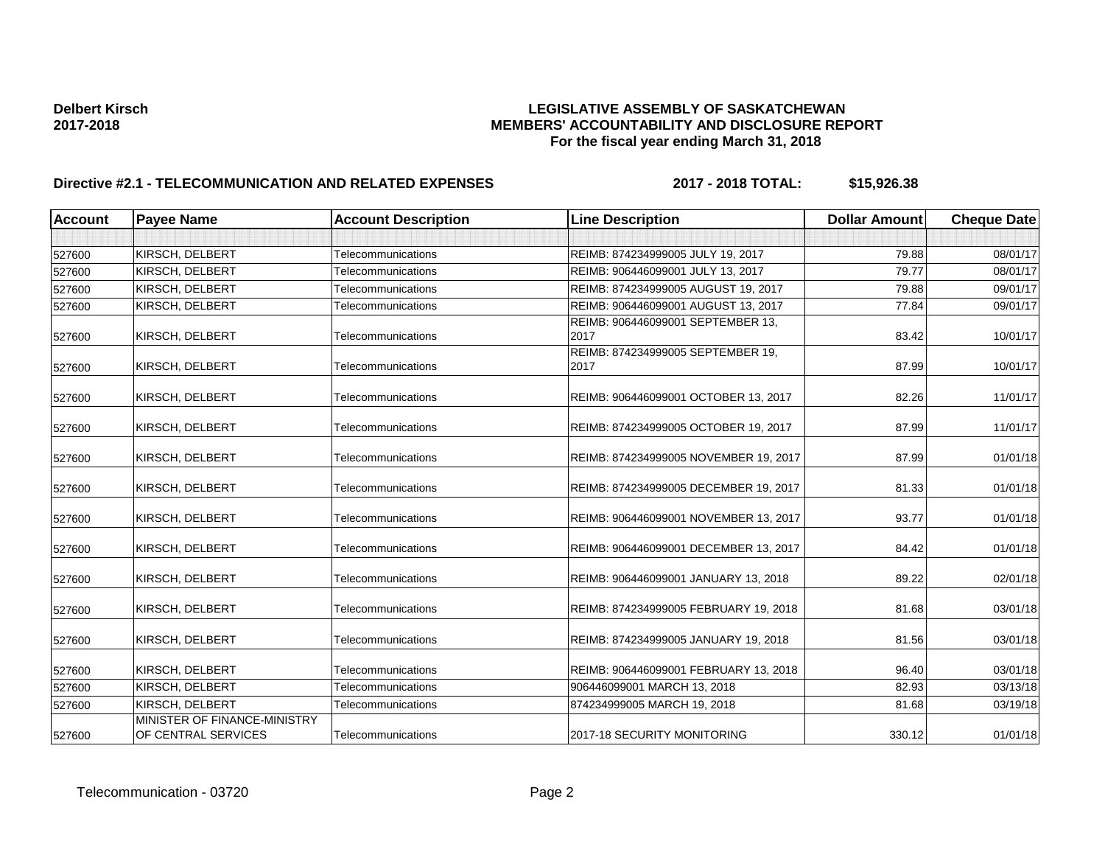| <b>Account</b> | <b>Payee Name</b>                                   | <b>Account Description</b> | <b>Line Description</b>                   | <b>Dollar Amount</b> | <b>Cheque Date</b> |
|----------------|-----------------------------------------------------|----------------------------|-------------------------------------------|----------------------|--------------------|
|                |                                                     |                            |                                           |                      |                    |
| 527600         | KIRSCH, DELBERT                                     | Telecommunications         | REIMB: 874234999005 JULY 19, 2017         | 79.88                | 08/01/17           |
| 527600         | KIRSCH, DELBERT                                     | <b>Telecommunications</b>  | REIMB: 906446099001 JULY 13, 2017         | 79.77                | 08/01/17           |
| 527600         | KIRSCH, DELBERT                                     | Telecommunications         | REIMB: 874234999005 AUGUST 19, 2017       | 79.88                | 09/01/17           |
| 527600         | KIRSCH, DELBERT                                     | Telecommunications         | REIMB: 906446099001 AUGUST 13, 2017       | 77.84                | 09/01/17           |
| 527600         | KIRSCH, DELBERT                                     | Telecommunications         | REIMB: 906446099001 SEPTEMBER 13,<br>2017 | 83.42                | 10/01/17           |
| 527600         | KIRSCH, DELBERT                                     | Telecommunications         | REIMB: 874234999005 SEPTEMBER 19,<br>2017 | 87.99                | 10/01/17           |
| 527600         | KIRSCH, DELBERT                                     | Telecommunications         | REIMB: 906446099001 OCTOBER 13, 2017      | 82.26                | 11/01/17           |
| 527600         | KIRSCH, DELBERT                                     | Telecommunications         | REIMB: 874234999005 OCTOBER 19, 2017      | 87.99                | 11/01/17           |
| 527600         | KIRSCH, DELBERT                                     | Telecommunications         | REIMB: 874234999005 NOVEMBER 19, 2017     | 87.99                | 01/01/18           |
| 527600         | KIRSCH, DELBERT                                     | Telecommunications         | REIMB: 874234999005 DECEMBER 19, 2017     | 81.33                | 01/01/18           |
| 527600         | KIRSCH, DELBERT                                     | Telecommunications         | REIMB: 906446099001 NOVEMBER 13, 2017     | 93.77                | 01/01/18           |
| 527600         | KIRSCH, DELBERT                                     | Telecommunications         | REIMB: 906446099001 DECEMBER 13, 2017     | 84.42                | 01/01/18           |
| 527600         | KIRSCH, DELBERT                                     | Telecommunications         | REIMB: 906446099001 JANUARY 13, 2018      | 89.22                | 02/01/18           |
| 527600         | KIRSCH, DELBERT                                     | Telecommunications         | REIMB: 874234999005 FEBRUARY 19, 2018     | 81.68                | 03/01/18           |
| 527600         | KIRSCH, DELBERT                                     | Telecommunications         | REIMB: 874234999005 JANUARY 19, 2018      | 81.56                | 03/01/18           |
| 527600         | KIRSCH, DELBERT                                     | Telecommunications         | REIMB: 906446099001 FEBRUARY 13, 2018     | 96.40                | 03/01/18           |
| 527600         | KIRSCH, DELBERT                                     | Telecommunications         | 906446099001 MARCH 13, 2018               | 82.93                | 03/13/18           |
| 527600         | KIRSCH, DELBERT                                     | Telecommunications         | 874234999005 MARCH 19, 2018               | 81.68                | 03/19/18           |
| 527600         | MINISTER OF FINANCE-MINISTRY<br>OF CENTRAL SERVICES | Telecommunications         | 2017-18 SECURITY MONITORING               | 330.12               | 01/01/18           |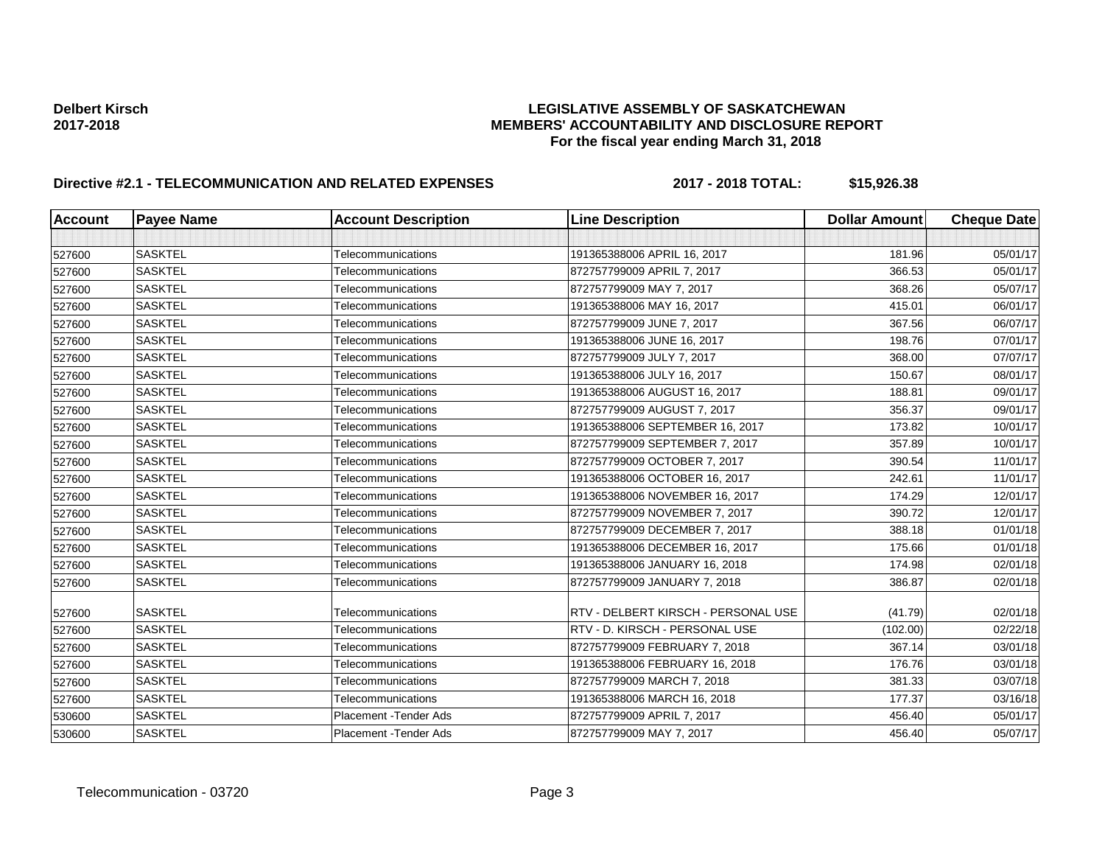| <b>Account</b> | <b>Payee Name</b> | <b>Account Description</b> | <b>Line Description</b>             | <b>Dollar Amount</b> | <b>Cheque Date</b> |
|----------------|-------------------|----------------------------|-------------------------------------|----------------------|--------------------|
|                |                   |                            |                                     |                      |                    |
| 527600         | <b>SASKTEL</b>    | Telecommunications         | 191365388006 APRIL 16, 2017         | 181.96               | 05/01/17           |
| 527600         | <b>SASKTEL</b>    | Telecommunications         | 872757799009 APRIL 7, 2017          | 366.53               | 05/01/17           |
| 527600         | <b>SASKTEL</b>    | Telecommunications         | 872757799009 MAY 7, 2017            | 368.26               | 05/07/17           |
| 527600         | <b>SASKTEL</b>    | Telecommunications         | 191365388006 MAY 16, 2017           | 415.01               | 06/01/17           |
| 527600         | <b>SASKTEL</b>    | Telecommunications         | 872757799009 JUNE 7, 2017           | 367.56               | 06/07/17           |
| 527600         | <b>SASKTEL</b>    | Telecommunications         | 191365388006 JUNE 16, 2017          | 198.76               | 07/01/17           |
| 527600         | <b>SASKTEL</b>    | Telecommunications         | 872757799009 JULY 7, 2017           | 368.00               | 07/07/17           |
| 527600         | <b>SASKTEL</b>    | Telecommunications         | 191365388006 JULY 16, 2017          | 150.67               | 08/01/17           |
| 527600         | <b>SASKTEL</b>    | Telecommunications         | 191365388006 AUGUST 16, 2017        | 188.81               | 09/01/17           |
| 527600         | <b>SASKTEL</b>    | Telecommunications         | 872757799009 AUGUST 7, 2017         | 356.37               | 09/01/17           |
| 527600         | <b>SASKTEL</b>    | Telecommunications         | 191365388006 SEPTEMBER 16, 2017     | 173.82               | 10/01/17           |
| 527600         | <b>SASKTEL</b>    | Telecommunications         | 872757799009 SEPTEMBER 7, 2017      | 357.89               | 10/01/17           |
| 527600         | <b>SASKTEL</b>    | Telecommunications         | 872757799009 OCTOBER 7, 2017        | 390.54               | 11/01/17           |
| 527600         | <b>SASKTEL</b>    | Telecommunications         | 191365388006 OCTOBER 16, 2017       | 242.61               | 11/01/17           |
| 527600         | <b>SASKTEL</b>    | Telecommunications         | 191365388006 NOVEMBER 16, 2017      | 174.29               | 12/01/17           |
| 527600         | <b>SASKTEL</b>    | Telecommunications         | 872757799009 NOVEMBER 7, 2017       | 390.72               | 12/01/17           |
| 527600         | <b>SASKTEL</b>    | Telecommunications         | 872757799009 DECEMBER 7, 2017       | 388.18               | 01/01/18           |
| 527600         | <b>SASKTEL</b>    | Telecommunications         | 191365388006 DECEMBER 16, 2017      | 175.66               | 01/01/18           |
| 527600         | <b>SASKTEL</b>    | Telecommunications         | 191365388006 JANUARY 16, 2018       | 174.98               | 02/01/18           |
| 527600         | <b>SASKTEL</b>    | Telecommunications         | 872757799009 JANUARY 7, 2018        | 386.87               | 02/01/18           |
| 527600         | <b>SASKTEL</b>    | Telecommunications         | RTV - DELBERT KIRSCH - PERSONAL USE | (41.79)              | 02/01/18           |
| 527600         | <b>SASKTEL</b>    | Telecommunications         | RTV - D. KIRSCH - PERSONAL USE      | (102.00)             | 02/22/18           |
| 527600         | <b>SASKTEL</b>    | Telecommunications         | 872757799009 FEBRUARY 7, 2018       | 367.14               | 03/01/18           |
| 527600         | <b>SASKTEL</b>    | Telecommunications         | 191365388006 FEBRUARY 16, 2018      | 176.76               | 03/01/18           |
| 527600         | <b>SASKTEL</b>    | Telecommunications         | 872757799009 MARCH 7, 2018          | 381.33               | 03/07/18           |
| 527600         | <b>SASKTEL</b>    | Telecommunications         | 191365388006 MARCH 16, 2018         | 177.37               | 03/16/18           |
| 530600         | <b>SASKTEL</b>    | Placement - Tender Ads     | 872757799009 APRIL 7, 2017          | 456.40               | 05/01/17           |
| 530600         | <b>SASKTEL</b>    | Placement - Tender Ads     | 872757799009 MAY 7, 2017            | 456.40               | 05/07/17           |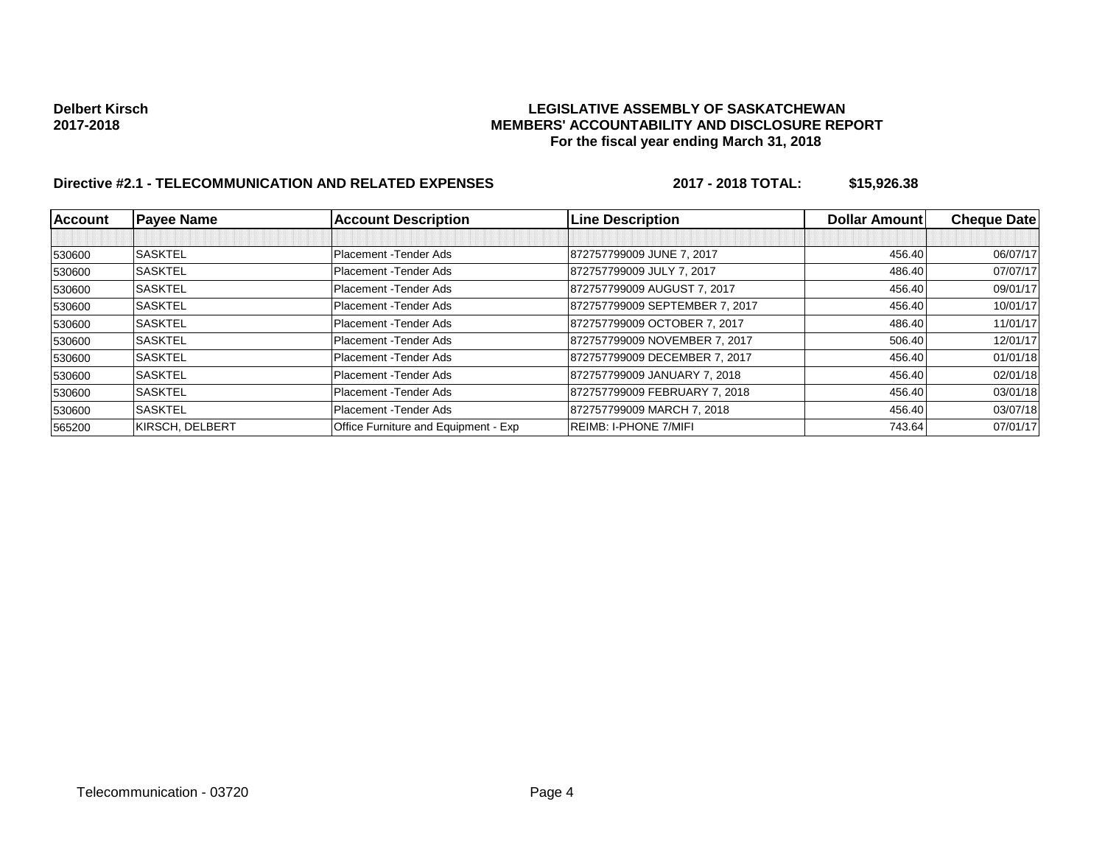| <b>Account</b> | <b>Payee Name</b> | <b>Account Description</b>           | <b>Line Description</b>        | Dollar Amount | <b>Cheque Date</b> |
|----------------|-------------------|--------------------------------------|--------------------------------|---------------|--------------------|
|                |                   |                                      |                                |               |                    |
| 530600         | <b>SASKTEL</b>    | Placement - Tender Ads               | 872757799009 JUNE 7, 2017      | 456.40        | 06/07/17           |
| 530600         | <b>SASKTEL</b>    | Placement - Tender Ads               | 872757799009 JULY 7, 2017      | 486.40        | 07/07/17           |
| 530600         | <b>SASKTEL</b>    | Placement - Tender Ads               | 872757799009 AUGUST 7, 2017    | 456.40        | 09/01/17           |
| 530600         | <b>SASKTEL</b>    | Placement - Tender Ads               | 872757799009 SEPTEMBER 7, 2017 | 456.40        | 10/01/17           |
| 530600         | <b>SASKTEL</b>    | Placement - Tender Ads               | 872757799009 OCTOBER 7, 2017   | 486.40        | 11/01/17           |
| 530600         | <b>SASKTEL</b>    | Placement - Tender Ads               | 872757799009 NOVEMBER 7, 2017  | 506.40        | 12/01/17           |
| 530600         | <b>SASKTEL</b>    | Placement - Tender Ads               | 872757799009 DECEMBER 7, 2017  | 456.40        | 01/01/18           |
| 530600         | <b>SASKTEL</b>    | Placement - Tender Ads               | 872757799009 JANUARY 7, 2018   | 456.40        | 02/01/18           |
| 530600         | <b>SASKTEL</b>    | Placement - Tender Ads               | 872757799009 FEBRUARY 7, 2018  | 456.40        | 03/01/18           |
| 530600         | <b>SASKTEL</b>    | Placement - Tender Ads               | 872757799009 MARCH 7, 2018     | 456.40        | 03/07/18           |
| 565200         | KIRSCH, DELBERT   | Office Furniture and Equipment - Exp | <b>REIMB: I-PHONE 7/MIFI</b>   | 743.64        | 07/01/17           |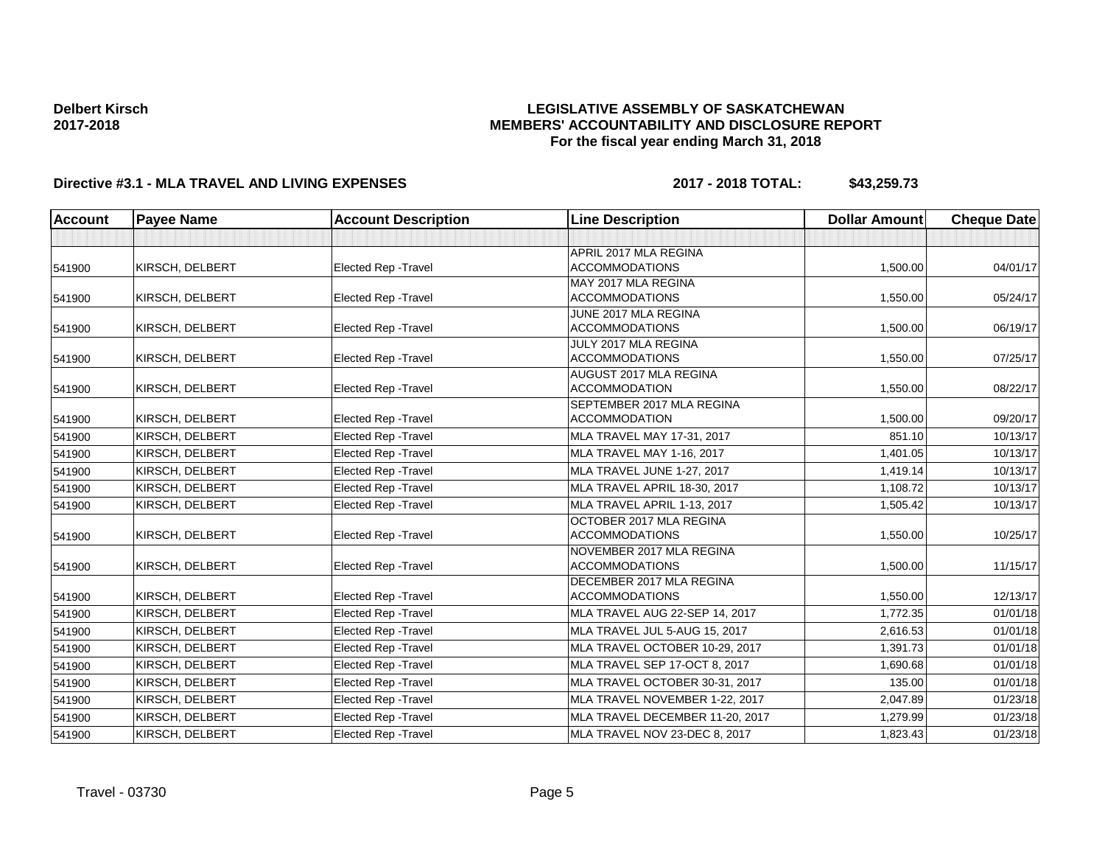### **LEGISLATIVE ASSEMBLY OF SASKATCHEWAN MEMBERS' ACCOUNTABILITY AND DISCLOSURE REPORT For the fiscal year ending March 31, 2018**

# **Directive #3.1 - MLA TRAVEL AND LIVING EXPENSES 2017 - 2018 TOTAL: \$43,259.73**

| <b>Account</b> | <b>Payee Name</b> | <b>Account Description</b>  | <b>Line Description</b>                           | <b>Dollar Amount</b> | <b>Cheque Date</b> |
|----------------|-------------------|-----------------------------|---------------------------------------------------|----------------------|--------------------|
|                |                   |                             |                                                   |                      |                    |
|                |                   |                             | APRIL 2017 MLA REGINA                             |                      |                    |
| 541900         | KIRSCH, DELBERT   | <b>Elected Rep - Travel</b> | <b>ACCOMMODATIONS</b>                             | 1,500.00             | 04/01/17           |
|                |                   |                             | MAY 2017 MLA REGINA                               |                      |                    |
| 541900         | KIRSCH, DELBERT   | Elected Rep - Travel        | <b>ACCOMMODATIONS</b>                             | 1,550.00             | 05/24/17           |
|                |                   |                             | JUNE 2017 MLA REGINA                              |                      |                    |
| 541900         | KIRSCH, DELBERT   | <b>Elected Rep - Travel</b> | <b>ACCOMMODATIONS</b>                             | 1,500.00             | 06/19/17           |
|                |                   |                             | JULY 2017 MLA REGINA                              |                      |                    |
| 541900         | KIRSCH, DELBERT   | Elected Rep - Travel        | <b>ACCOMMODATIONS</b>                             | 1,550.00             | 07/25/17           |
|                |                   |                             | AUGUST 2017 MLA REGINA<br><b>ACCOMMODATION</b>    |                      | 08/22/17           |
| 541900         | KIRSCH, DELBERT   | <b>Elected Rep - Travel</b> |                                                   | 1,550.00             |                    |
| 541900         | KIRSCH, DELBERT   | <b>Elected Rep - Travel</b> | SEPTEMBER 2017 MLA REGINA<br><b>ACCOMMODATION</b> | 1,500.00             | 09/20/17           |
|                |                   | <b>Elected Rep - Travel</b> | MLA TRAVEL MAY 17-31, 2017                        | 851.10               | 10/13/17           |
| 541900         | KIRSCH, DELBERT   |                             |                                                   |                      |                    |
| 541900         | KIRSCH, DELBERT   | Elected Rep - Travel        | MLA TRAVEL MAY 1-16, 2017                         | 1,401.05             | 10/13/17           |
| 541900         | KIRSCH, DELBERT   | <b>Elected Rep - Travel</b> | MLA TRAVEL JUNE 1-27, 2017                        | 1,419.14             | 10/13/17           |
| 541900         | KIRSCH, DELBERT   | <b>Elected Rep - Travel</b> | MLA TRAVEL APRIL 18-30, 2017                      | 1,108.72             | 10/13/17           |
| 541900         | KIRSCH, DELBERT   | <b>Elected Rep - Travel</b> | MLA TRAVEL APRIL 1-13, 2017                       | 1,505.42             | 10/13/17           |
|                |                   |                             | OCTOBER 2017 MLA REGINA                           |                      |                    |
| 541900         | KIRSCH, DELBERT   | <b>Elected Rep - Travel</b> | <b>ACCOMMODATIONS</b>                             | 1,550.00             | 10/25/17           |
|                |                   |                             | NOVEMBER 2017 MLA REGINA                          |                      |                    |
| 541900         | KIRSCH, DELBERT   | Elected Rep - Travel        | <b>ACCOMMODATIONS</b>                             | 1,500.00             | 11/15/17           |
|                |                   |                             | DECEMBER 2017 MLA REGINA                          |                      |                    |
| 541900         | KIRSCH, DELBERT   | <b>Elected Rep - Travel</b> | <b>ACCOMMODATIONS</b>                             | 1,550.00             | 12/13/17           |
| 541900         | KIRSCH, DELBERT   | <b>Elected Rep - Travel</b> | MLA TRAVEL AUG 22-SEP 14, 2017                    | 1,772.35             | 01/01/18           |
| 541900         | KIRSCH, DELBERT   | <b>Elected Rep - Travel</b> | MLA TRAVEL JUL 5-AUG 15, 2017                     | 2,616.53             | 01/01/18           |
| 541900         | KIRSCH, DELBERT   | <b>Elected Rep - Travel</b> | MLA TRAVEL OCTOBER 10-29, 2017                    | 1,391.73             | 01/01/18           |
| 541900         | KIRSCH, DELBERT   | Elected Rep - Travel        | MLA TRAVEL SEP 17-OCT 8, 2017                     | 1,690.68             | 01/01/18           |
| 541900         | KIRSCH, DELBERT   | <b>Elected Rep - Travel</b> | MLA TRAVEL OCTOBER 30-31, 2017                    | 135.00               | 01/01/18           |
| 541900         | KIRSCH, DELBERT   | Elected Rep - Travel        | MLA TRAVEL NOVEMBER 1-22, 2017                    | 2,047.89             | 01/23/18           |
| 541900         | KIRSCH, DELBERT   | <b>Elected Rep - Travel</b> | MLA TRAVEL DECEMBER 11-20, 2017                   | 1,279.99             | 01/23/18           |
| 541900         | KIRSCH, DELBERT   | <b>Elected Rep - Travel</b> | MLA TRAVEL NOV 23-DEC 8, 2017                     | 1,823.43             | 01/23/18           |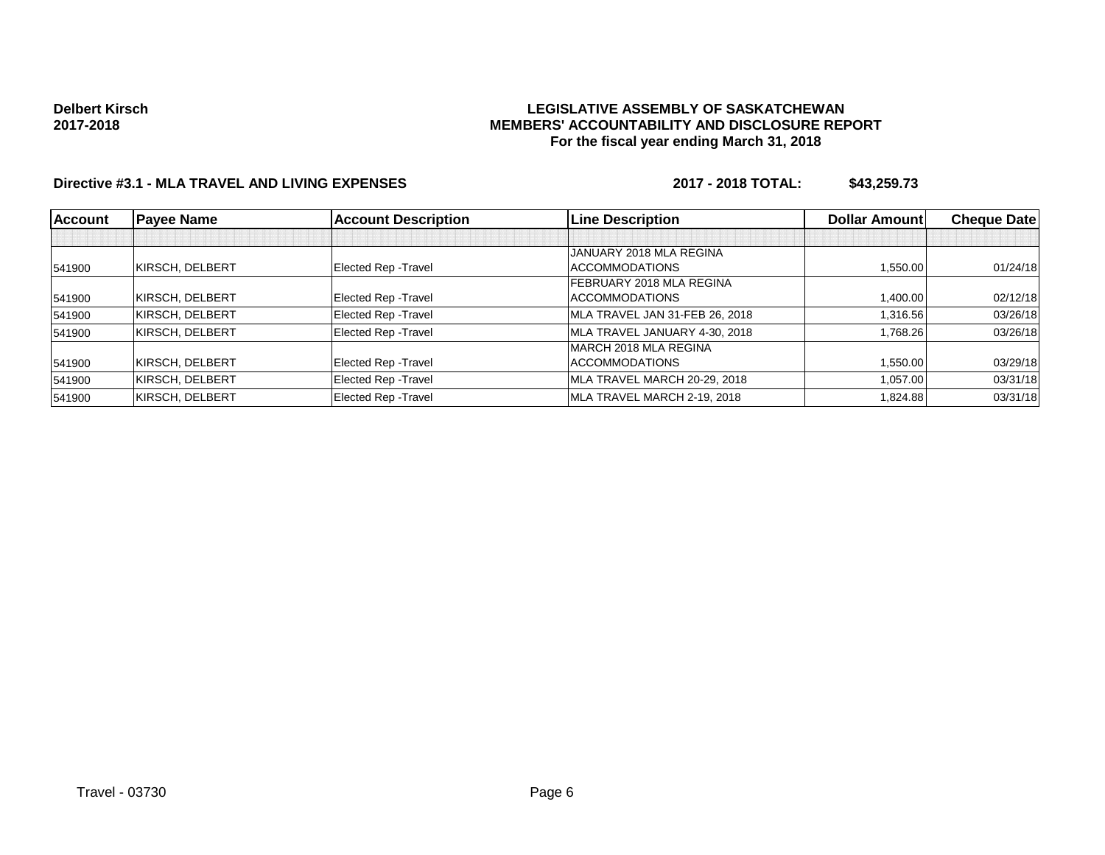### **LEGISLATIVE ASSEMBLY OF SASKATCHEWAN MEMBERS' ACCOUNTABILITY AND DISCLOSURE REPORT For the fiscal year ending March 31, 2018**

# **Directive #3.1 - MLA TRAVEL AND LIVING EXPENSES 2017 - 2018 TOTAL: \$43,259.73**

| <b>Account</b> | <b>Payee Name</b> | <b>Account Description</b> | <b>Line Description</b>        | <b>Dollar Amountl</b> | <b>Cheque Date</b> |
|----------------|-------------------|----------------------------|--------------------------------|-----------------------|--------------------|
|                |                   |                            |                                |                       |                    |
|                |                   |                            | JANUARY 2018 MLA REGINA        |                       |                    |
| 541900         | KIRSCH, DELBERT   | Elected Rep - Travel       | <b>ACCOMMODATIONS</b>          | 1.550.00              | 01/24/18           |
|                |                   |                            | FEBRUARY 2018 MLA REGINA       |                       |                    |
| 541900         | KIRSCH, DELBERT   | Elected Rep - Travel       | <b>ACCOMMODATIONS</b>          | 1,400.00              | 02/12/18           |
| 541900         | KIRSCH, DELBERT   | Elected Rep - Travel       | MLA TRAVEL JAN 31-FEB 26, 2018 | 1,316.56              | 03/26/18           |
| 541900         | KIRSCH, DELBERT   | Elected Rep - Travel       | MLA TRAVEL JANUARY 4-30, 2018  | 1,768.26              | 03/26/18           |
|                |                   |                            | MARCH 2018 MLA REGINA          |                       |                    |
| 541900         | KIRSCH, DELBERT   | Elected Rep - Travel       | <b>ACCOMMODATIONS</b>          | 1.550.00              | 03/29/18           |
| 541900         | KIRSCH, DELBERT   | Elected Rep - Travel       | MLA TRAVEL MARCH 20-29, 2018   | 1,057.00              | 03/31/18           |
| 541900         | KIRSCH, DELBERT   | Elected Rep - Travel       | MLA TRAVEL MARCH 2-19, 2018    | 1.824.88              | 03/31/18           |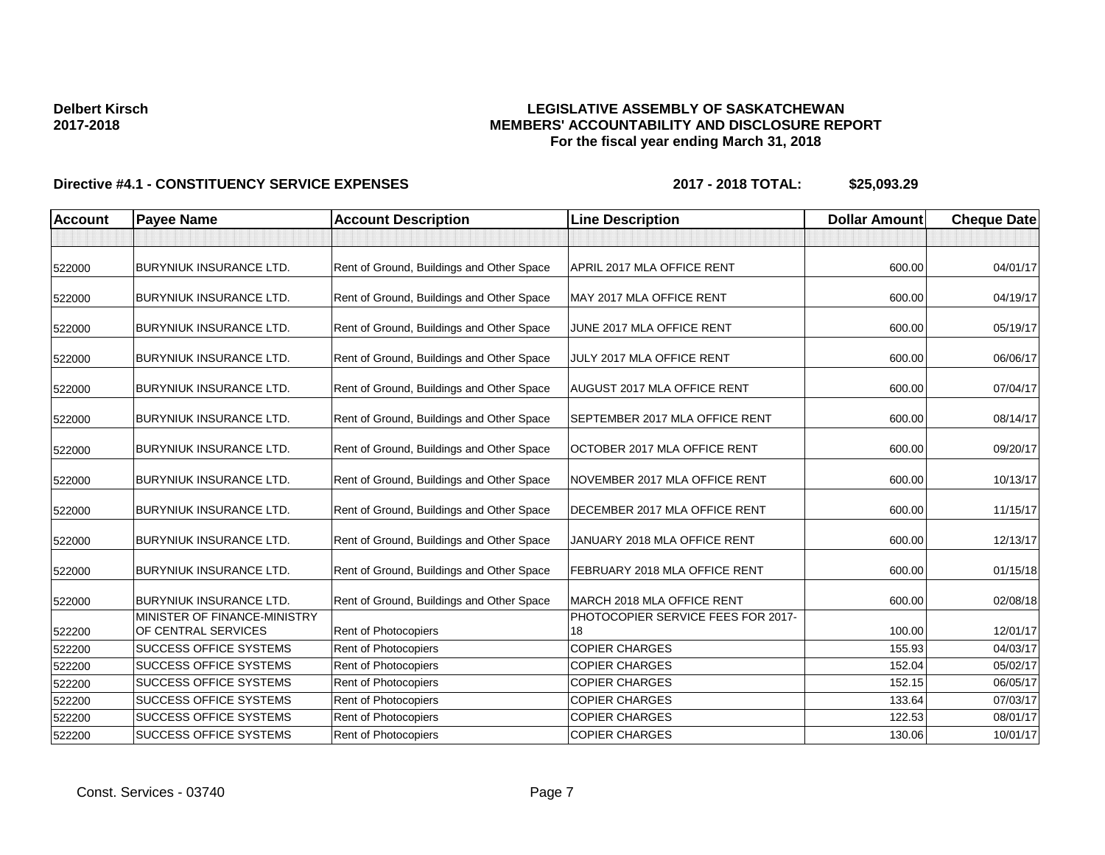### **LEGISLATIVE ASSEMBLY OF SASKATCHEWAN MEMBERS' ACCOUNTABILITY AND DISCLOSURE REPORT For the fiscal year ending March 31, 2018**

| <b>Account</b> | <b>Payee Name</b>                                              | <b>Account Description</b>                | <b>Line Description</b>                                          | <b>Dollar Amount</b> | <b>Cheque Date</b> |
|----------------|----------------------------------------------------------------|-------------------------------------------|------------------------------------------------------------------|----------------------|--------------------|
|                |                                                                |                                           |                                                                  |                      |                    |
| 522000         | <b>BURYNIUK INSURANCE LTD.</b>                                 | Rent of Ground, Buildings and Other Space | APRIL 2017 MLA OFFICE RENT                                       | 600.00               | 04/01/17           |
| 522000         | <b>BURYNIUK INSURANCE LTD.</b>                                 | Rent of Ground, Buildings and Other Space | MAY 2017 MLA OFFICE RENT                                         | 600.00               | 04/19/17           |
| 522000         | <b>BURYNIUK INSURANCE LTD.</b>                                 | Rent of Ground, Buildings and Other Space | JUNE 2017 MLA OFFICE RENT                                        | 600.00               | 05/19/17           |
| 522000         | <b>BURYNIUK INSURANCE LTD.</b>                                 | Rent of Ground, Buildings and Other Space | JULY 2017 MLA OFFICE RENT                                        | 600.00               | 06/06/17           |
| 522000         | <b>BURYNIUK INSURANCE LTD.</b>                                 | Rent of Ground, Buildings and Other Space | AUGUST 2017 MLA OFFICE RENT                                      | 600.00               | 07/04/17           |
| 522000         | <b>BURYNIUK INSURANCE LTD.</b>                                 | Rent of Ground, Buildings and Other Space | <b>SEPTEMBER 2017 MLA OFFICE RENT</b>                            | 600.00               | 08/14/17           |
| 522000         | <b>BURYNIUK INSURANCE LTD.</b>                                 | Rent of Ground, Buildings and Other Space | OCTOBER 2017 MLA OFFICE RENT                                     | 600.00               | 09/20/17           |
| 522000         | <b>BURYNIUK INSURANCE LTD.</b>                                 | Rent of Ground, Buildings and Other Space | NOVEMBER 2017 MLA OFFICE RENT                                    | 600.00               | 10/13/17           |
| 522000         | <b>BURYNIUK INSURANCE LTD.</b>                                 | Rent of Ground, Buildings and Other Space | DECEMBER 2017 MLA OFFICE RENT                                    | 600.00               | 11/15/17           |
| 522000         | <b>BURYNIUK INSURANCE LTD.</b>                                 | Rent of Ground, Buildings and Other Space | JANUARY 2018 MLA OFFICE RENT                                     | 600.00               | 12/13/17           |
| 522000         | <b>BURYNIUK INSURANCE LTD.</b>                                 | Rent of Ground, Buildings and Other Space | FEBRUARY 2018 MLA OFFICE RENT                                    | 600.00               | 01/15/18           |
| 522000         | <b>BURYNIUK INSURANCE LTD.</b><br>MINISTER OF FINANCE-MINISTRY | Rent of Ground, Buildings and Other Space | MARCH 2018 MLA OFFICE RENT<br>PHOTOCOPIER SERVICE FEES FOR 2017- | 600.00               | 02/08/18           |
| 522200         | OF CENTRAL SERVICES                                            | Rent of Photocopiers                      | 18                                                               | 100.00               | 12/01/17           |
| 522200         | <b>SUCCESS OFFICE SYSTEMS</b>                                  | Rent of Photocopiers                      | <b>COPIER CHARGES</b>                                            | 155.93               | 04/03/17           |
| 522200         | <b>SUCCESS OFFICE SYSTEMS</b>                                  | <b>Rent of Photocopiers</b>               | <b>COPIER CHARGES</b>                                            | 152.04               | 05/02/17           |
| 522200         | <b>SUCCESS OFFICE SYSTEMS</b>                                  | Rent of Photocopiers                      | <b>COPIER CHARGES</b>                                            | 152.15               | 06/05/17           |
| 522200         | <b>SUCCESS OFFICE SYSTEMS</b>                                  | Rent of Photocopiers                      | <b>COPIER CHARGES</b>                                            | 133.64               | 07/03/17           |
| 522200         | <b>SUCCESS OFFICE SYSTEMS</b>                                  | Rent of Photocopiers                      | <b>COPIER CHARGES</b>                                            | 122.53               | 08/01/17           |
| 522200         | <b>SUCCESS OFFICE SYSTEMS</b>                                  | Rent of Photocopiers                      | <b>COPIER CHARGES</b>                                            | 130.06               | 10/01/17           |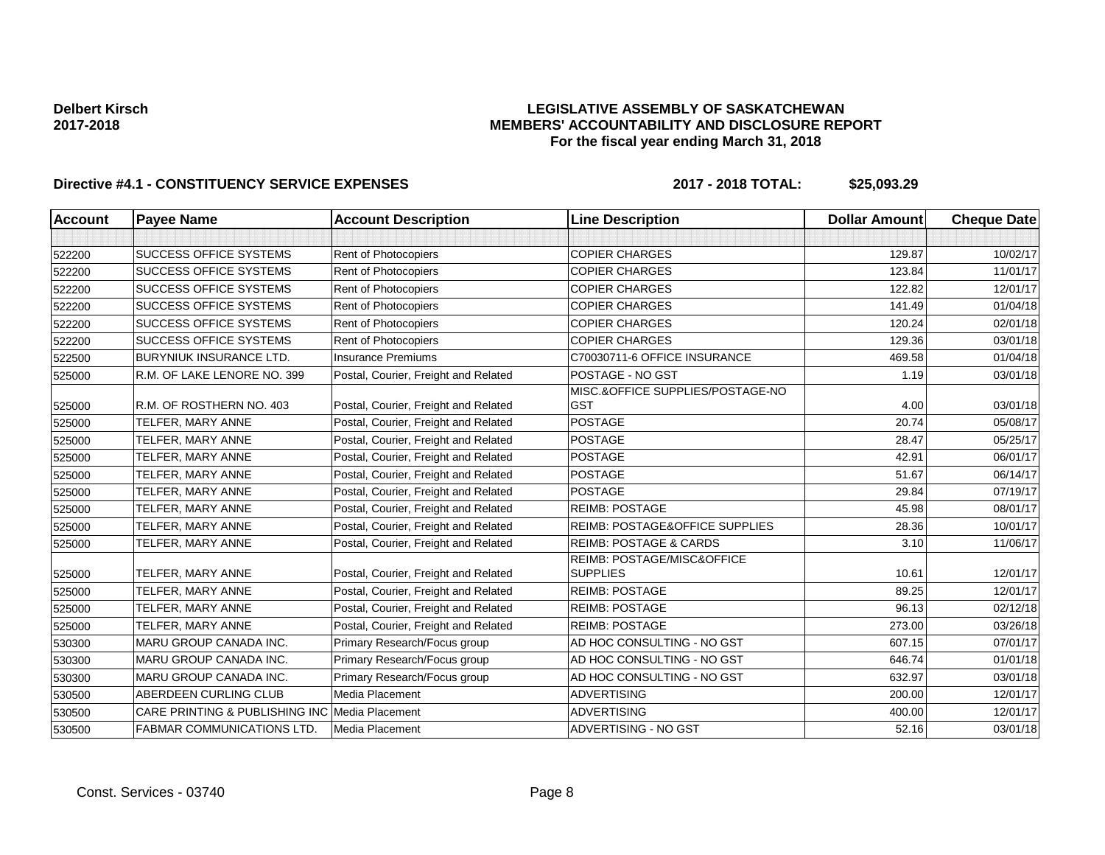### **LEGISLATIVE ASSEMBLY OF SASKATCHEWAN MEMBERS' ACCOUNTABILITY AND DISCLOSURE REPORT For the fiscal year ending March 31, 2018**

| <b>Account</b> | <b>Payee Name</b>                          | <b>Account Description</b>           | <b>Line Description</b>                       | <b>Dollar Amount</b> | <b>Cheque Date</b> |
|----------------|--------------------------------------------|--------------------------------------|-----------------------------------------------|----------------------|--------------------|
|                |                                            |                                      |                                               |                      |                    |
| 522200         | <b>SUCCESS OFFICE SYSTEMS</b>              | Rent of Photocopiers                 | <b>COPIER CHARGES</b>                         | 129.87               | 10/02/17           |
| 522200         | <b>SUCCESS OFFICE SYSTEMS</b>              | Rent of Photocopiers                 | <b>COPIER CHARGES</b>                         | 123.84               | 11/01/17           |
| 522200         | <b>SUCCESS OFFICE SYSTEMS</b>              | Rent of Photocopiers                 | <b>COPIER CHARGES</b>                         | 122.82               | 12/01/17           |
| 522200         | <b>SUCCESS OFFICE SYSTEMS</b>              | Rent of Photocopiers                 | <b>COPIER CHARGES</b>                         | 141.49               | 01/04/18           |
| 522200         | <b>SUCCESS OFFICE SYSTEMS</b>              | Rent of Photocopiers                 | <b>COPIER CHARGES</b>                         | 120.24               | 02/01/18           |
| 522200         | <b>SUCCESS OFFICE SYSTEMS</b>              | Rent of Photocopiers                 | <b>COPIER CHARGES</b>                         | 129.36               | 03/01/18           |
| 522500         | <b>BURYNIUK INSURANCE LTD.</b>             | <b>Insurance Premiums</b>            | C70030711-6 OFFICE INSURANCE                  | 469.58               | 01/04/18           |
| 525000         | R.M. OF LAKE LENORE NO. 399                | Postal, Courier, Freight and Related | POSTAGE - NO GST                              | 1.19                 | 03/01/18           |
|                |                                            |                                      | MISC.&OFFICE SUPPLIES/POSTAGE-NO              |                      |                    |
| 525000         | R.M. OF ROSTHERN NO. 403                   | Postal, Courier, Freight and Related | <b>GST</b>                                    | 4.00                 | 03/01/18           |
| 525000         | TELFER, MARY ANNE                          | Postal, Courier, Freight and Related | <b>POSTAGE</b>                                | 20.74                | 05/08/17           |
| 525000         | TELFER, MARY ANNE                          | Postal, Courier, Freight and Related | <b>POSTAGE</b>                                | 28.47                | 05/25/17           |
| 525000         | TELFER, MARY ANNE                          | Postal, Courier, Freight and Related | <b>POSTAGE</b>                                | 42.91                | 06/01/17           |
| 525000         | TELFER, MARY ANNE                          | Postal, Courier, Freight and Related | <b>POSTAGE</b>                                | 51.67                | 06/14/17           |
| 525000         | TELFER, MARY ANNE                          | Postal, Courier, Freight and Related | <b>POSTAGE</b>                                | 29.84                | 07/19/17           |
| 525000         | TELFER, MARY ANNE                          | Postal, Courier, Freight and Related | <b>REIMB: POSTAGE</b>                         | 45.98                | 08/01/17           |
| 525000         | TELFER, MARY ANNE                          | Postal, Courier, Freight and Related | <b>REIMB: POSTAGE&amp;OFFICE SUPPLIES</b>     | 28.36                | 10/01/17           |
| 525000         | TELFER, MARY ANNE                          | Postal, Courier, Freight and Related | <b>REIMB: POSTAGE &amp; CARDS</b>             | 3.10                 | 11/06/17           |
|                | TELFER, MARY ANNE                          |                                      | REIMB: POSTAGE/MISC&OFFICE<br><b>SUPPLIES</b> | 10.61                | 12/01/17           |
| 525000         |                                            | Postal, Courier, Freight and Related |                                               |                      |                    |
| 525000         | TELFER, MARY ANNE                          | Postal, Courier, Freight and Related | <b>REIMB: POSTAGE</b>                         | 89.25                | 12/01/17           |
| 525000         | TELFER, MARY ANNE                          | Postal, Courier, Freight and Related | <b>REIMB: POSTAGE</b>                         | 96.13                | 02/12/18           |
| 525000         | TELFER, MARY ANNE                          | Postal, Courier, Freight and Related | <b>REIMB: POSTAGE</b>                         | 273.00               | 03/26/18           |
| 530300         | <b>MARU GROUP CANADA INC.</b>              | Primary Research/Focus group         | AD HOC CONSULTING - NO GST                    | 607.15               | 07/01/17           |
| 530300         | MARU GROUP CANADA INC.                     | Primary Research/Focus group         | AD HOC CONSULTING - NO GST                    | 646.74               | 01/01/18           |
| 530300         | MARU GROUP CANADA INC.                     | Primary Research/Focus group         | AD HOC CONSULTING - NO GST                    | 632.97               | 03/01/18           |
| 530500         | ABERDEEN CURLING CLUB                      | Media Placement                      | <b>ADVERTISING</b>                            | 200.00               | 12/01/17           |
| 530500         | <b>CARE PRINTING &amp; PUBLISHING INC.</b> | Media Placement                      | <b>ADVERTISING</b>                            | 400.00               | 12/01/17           |
| 530500         | <b>FABMAR COMMUNICATIONS LTD.</b>          | Media Placement                      | ADVERTISING - NO GST                          | 52.16                | 03/01/18           |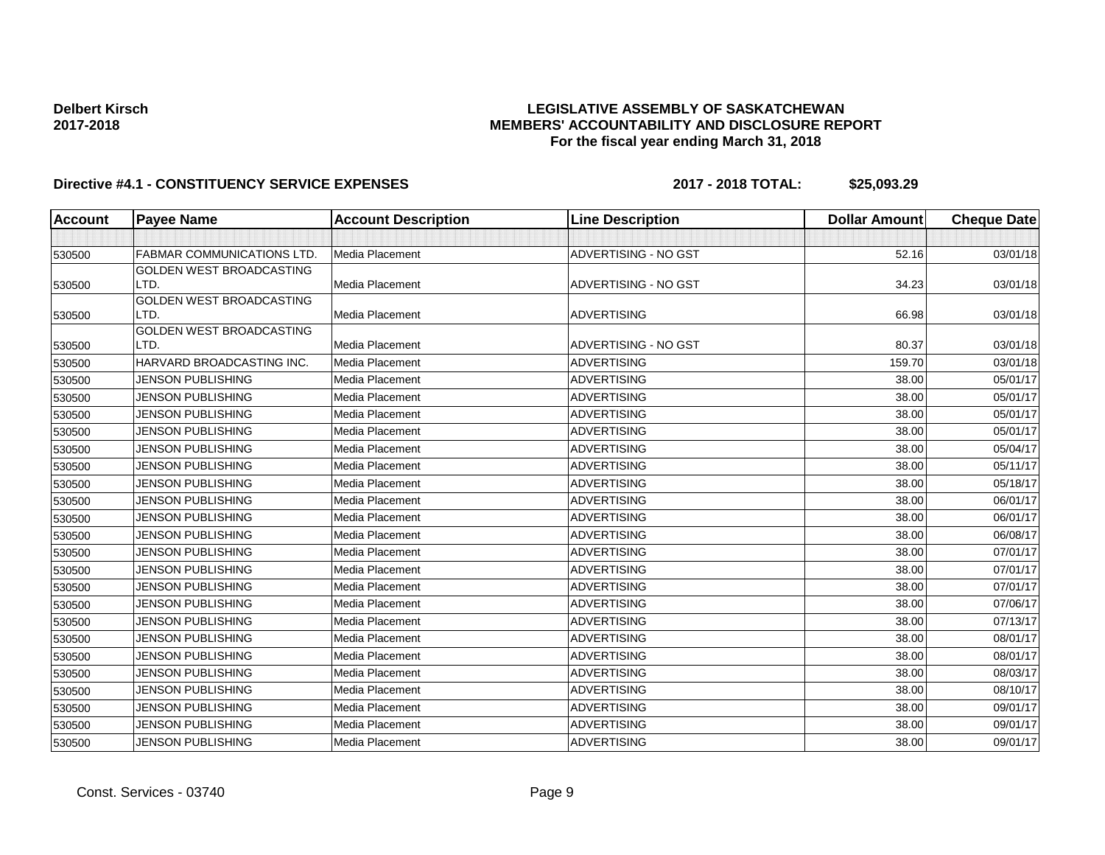## **LEGISLATIVE ASSEMBLY OF SASKATCHEWAN MEMBERS' ACCOUNTABILITY AND DISCLOSURE REPORT For the fiscal year ending March 31, 2018**

| Account | <b>Payee Name</b>                | <b>Account Description</b> | <b>Line Description</b> | <b>Dollar Amount</b> | <b>Cheque Date</b> |
|---------|----------------------------------|----------------------------|-------------------------|----------------------|--------------------|
|         |                                  |                            |                         |                      |                    |
| 530500  | <b>FABMAR COMMUNICATIONS LTD</b> | Media Placement            | ADVERTISING - NO GST    | 52.16                | 03/01/18           |
|         | GOLDEN WEST BROADCASTING         |                            |                         |                      |                    |
| 530500  | LTD.                             | Media Placement            | ADVERTISING - NO GST    | 34.23                | 03/01/18           |
|         | <b>GOLDEN WEST BROADCASTING</b>  |                            |                         |                      |                    |
| 530500  | LTD.                             | Media Placement            | <b>ADVERTISING</b>      | 66.98                | 03/01/18           |
| 530500  | GOLDEN WEST BROADCASTING<br>LTD. | Media Placement            | ADVERTISING - NO GST    | 80.37                | 03/01/18           |
| 530500  | HARVARD BROADCASTING INC.        | Media Placement            | <b>ADVERTISING</b>      | 159.70               | 03/01/18           |
| 530500  | <b>JENSON PUBLISHING</b>         | Media Placement            | <b>ADVERTISING</b>      | 38.00                | 05/01/17           |
| 530500  | <b>JENSON PUBLISHING</b>         | Media Placement            | <b>ADVERTISING</b>      | 38.00                | 05/01/17           |
|         | <b>JENSON PUBLISHING</b>         | Media Placement            | <b>ADVERTISING</b>      | 38.00                | 05/01/17           |
| 530500  | <b>JENSON PUBLISHING</b>         | Media Placement            | <b>ADVERTISING</b>      | 38.00                | 05/01/17           |
| 530500  | <b>JENSON PUBLISHING</b>         | Media Placement            | <b>ADVERTISING</b>      | 38.00                | 05/04/17           |
| 530500  | <b>JENSON PUBLISHING</b>         | Media Placement            | <b>ADVERTISING</b>      | 38.00                | 05/11/17           |
| 530500  |                                  |                            |                         |                      |                    |
| 530500  | <b>JENSON PUBLISHING</b>         | Media Placement            | <b>ADVERTISING</b>      | 38.00                | 05/18/17           |
| 530500  | <b>JENSON PUBLISHING</b>         | Media Placement            | <b>ADVERTISING</b>      | 38.00                | 06/01/17           |
| 530500  | <b>JENSON PUBLISHING</b>         | Media Placement            | <b>ADVERTISING</b>      | 38.00                | 06/01/17           |
| 530500  | <b>JENSON PUBLISHING</b>         | Media Placement            | <b>ADVERTISING</b>      | 38.00                | 06/08/17           |
| 530500  | <b>JENSON PUBLISHING</b>         | Media Placement            | <b>ADVERTISING</b>      | 38.00                | 07/01/17           |
| 530500  | <b>JENSON PUBLISHING</b>         | Media Placement            | <b>ADVERTISING</b>      | 38.00                | 07/01/17           |
| 530500  | <b>JENSON PUBLISHING</b>         | Media Placement            | <b>ADVERTISING</b>      | 38.00                | 07/01/17           |
| 530500  | <b>JENSON PUBLISHING</b>         | Media Placement            | <b>ADVERTISING</b>      | 38.00                | 07/06/17           |
| 530500  | <b>JENSON PUBLISHING</b>         | Media Placement            | <b>ADVERTISING</b>      | 38.00                | 07/13/17           |
| 530500  | <b>JENSON PUBLISHING</b>         | Media Placement            | <b>ADVERTISING</b>      | 38.00                | 08/01/17           |
| 530500  | <b>JENSON PUBLISHING</b>         | Media Placement            | <b>ADVERTISING</b>      | 38.00                | 08/01/17           |
| 530500  | <b>JENSON PUBLISHING</b>         | Media Placement            | <b>ADVERTISING</b>      | 38.00                | 08/03/17           |
| 530500  | <b>JENSON PUBLISHING</b>         | Media Placement            | <b>ADVERTISING</b>      | 38.00                | 08/10/17           |
| 530500  | <b>JENSON PUBLISHING</b>         | Media Placement            | <b>ADVERTISING</b>      | 38.00                | 09/01/17           |
| 530500  | <b>JENSON PUBLISHING</b>         | Media Placement            | <b>ADVERTISING</b>      | 38.00                | 09/01/17           |
| 530500  | <b>JENSON PUBLISHING</b>         | Media Placement            | <b>ADVERTISING</b>      | 38.00                | 09/01/17           |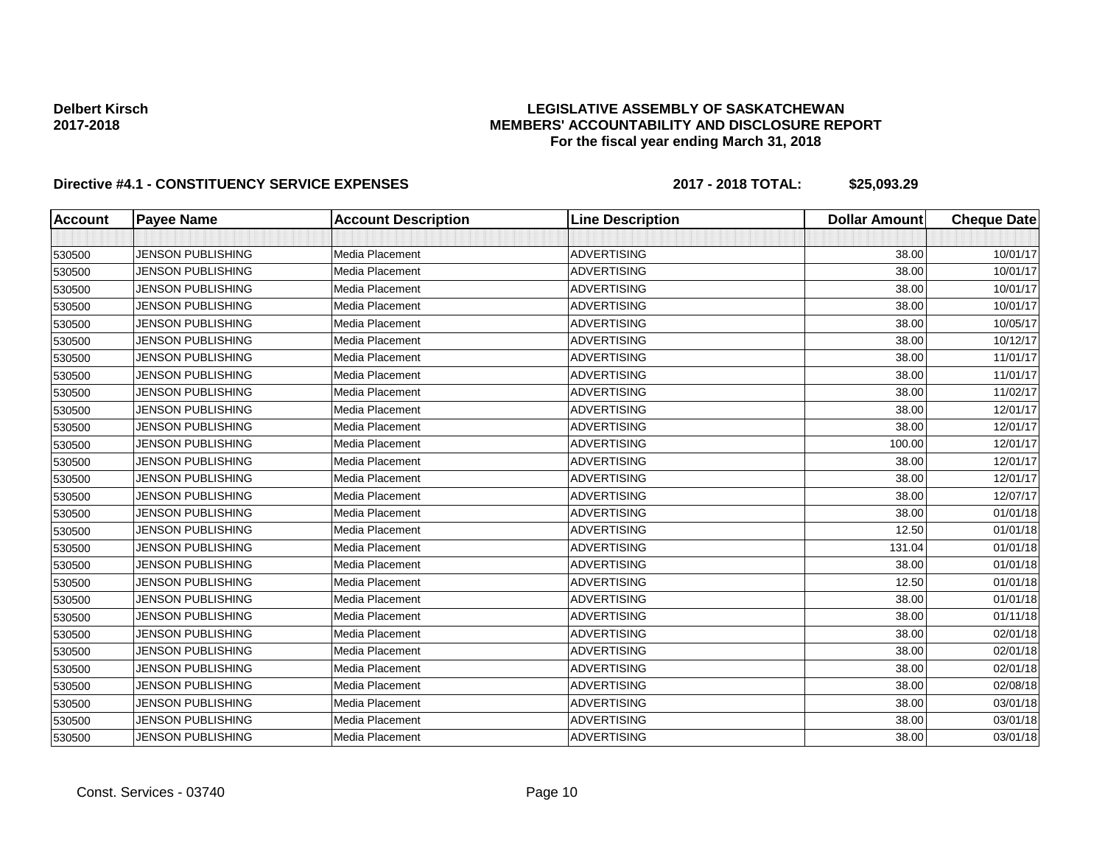### **LEGISLATIVE ASSEMBLY OF SASKATCHEWAN MEMBERS' ACCOUNTABILITY AND DISCLOSURE REPORT For the fiscal year ending March 31, 2018**

| <b>Account</b> | <b>Payee Name</b>        | <b>Account Description</b> | <b>Line Description</b> | <b>Dollar Amount</b> | <b>Cheque Date</b> |
|----------------|--------------------------|----------------------------|-------------------------|----------------------|--------------------|
|                |                          |                            |                         |                      |                    |
| 530500         | <b>JENSON PUBLISHING</b> | Media Placement            | <b>ADVERTISING</b>      | 38.00                | 10/01/17           |
| 530500         | <b>JENSON PUBLISHING</b> | Media Placement            | <b>ADVERTISING</b>      | 38.00                | 10/01/17           |
| 530500         | <b>JENSON PUBLISHING</b> | <b>Media Placement</b>     | <b>ADVERTISING</b>      | 38.00                | 10/01/17           |
| 530500         | <b>JENSON PUBLISHING</b> | Media Placement            | <b>ADVERTISING</b>      | 38.00                | 10/01/17           |
| 530500         | <b>JENSON PUBLISHING</b> | <b>Media Placement</b>     | <b>ADVERTISING</b>      | 38.00                | 10/05/17           |
| 530500         | <b>JENSON PUBLISHING</b> | <b>Media Placement</b>     | <b>ADVERTISING</b>      | 38.00                | 10/12/17           |
| 530500         | <b>JENSON PUBLISHING</b> | Media Placement            | <b>ADVERTISING</b>      | 38.00                | 11/01/17           |
| 530500         | <b>JENSON PUBLISHING</b> | Media Placement            | <b>ADVERTISING</b>      | 38.00                | 11/01/17           |
| 530500         | <b>JENSON PUBLISHING</b> | Media Placement            | <b>ADVERTISING</b>      | 38.00                | 11/02/17           |
| 530500         | JENSON PUBLISHING        | <b>Media Placement</b>     | <b>ADVERTISING</b>      | 38.00                | 12/01/17           |
| 530500         | <b>JENSON PUBLISHING</b> | Media Placement            | <b>ADVERTISING</b>      | 38.00                | 12/01/17           |
| 530500         | JENSON PUBLISHING        | Media Placement            | <b>ADVERTISING</b>      | 100.00               | 12/01/17           |
| 530500         | JENSON PUBLISHING        | <b>Media Placement</b>     | <b>ADVERTISING</b>      | 38.00                | 12/01/17           |
| 530500         | <b>JENSON PUBLISHING</b> | Media Placement            | <b>ADVERTISING</b>      | 38.00                | 12/01/17           |
| 530500         | <b>JENSON PUBLISHING</b> | Media Placement            | <b>ADVERTISING</b>      | 38.00                | 12/07/17           |
| 530500         | <b>JENSON PUBLISHING</b> | Media Placement            | <b>ADVERTISING</b>      | 38.00                | 01/01/18           |
| 530500         | <b>JENSON PUBLISHING</b> | Media Placement            | <b>ADVERTISING</b>      | 12.50                | 01/01/18           |
| 530500         | <b>JENSON PUBLISHING</b> | Media Placement            | <b>ADVERTISING</b>      | 131.04               | 01/01/18           |
| 530500         | <b>JENSON PUBLISHING</b> | Media Placement            | <b>ADVERTISING</b>      | 38.00                | 01/01/18           |
| 530500         | <b>JENSON PUBLISHING</b> | Media Placement            | <b>ADVERTISING</b>      | 12.50                | 01/01/18           |
| 530500         | <b>JENSON PUBLISHING</b> | Media Placement            | <b>ADVERTISING</b>      | 38.00                | 01/01/18           |
| 530500         | <b>JENSON PUBLISHING</b> | <b>Media Placement</b>     | <b>ADVERTISING</b>      | 38.00                | 01/11/18           |
| 530500         | <b>JENSON PUBLISHING</b> | Media Placement            | <b>ADVERTISING</b>      | 38.00                | 02/01/18           |
| 530500         | <b>JENSON PUBLISHING</b> | Media Placement            | <b>ADVERTISING</b>      | 38.00                | 02/01/18           |
| 530500         | <b>JENSON PUBLISHING</b> | <b>Media Placement</b>     | <b>ADVERTISING</b>      | 38.00                | 02/01/18           |
| 530500         | <b>JENSON PUBLISHING</b> | <b>Media Placement</b>     | <b>ADVERTISING</b>      | 38.00                | 02/08/18           |
| 530500         | <b>JENSON PUBLISHING</b> | Media Placement            | <b>ADVERTISING</b>      | 38.00                | 03/01/18           |
| 530500         | <b>JENSON PUBLISHING</b> | Media Placement            | <b>ADVERTISING</b>      | 38.00                | 03/01/18           |
| 530500         | <b>JENSON PUBLISHING</b> | Media Placement            | <b>ADVERTISING</b>      | 38.00                | 03/01/18           |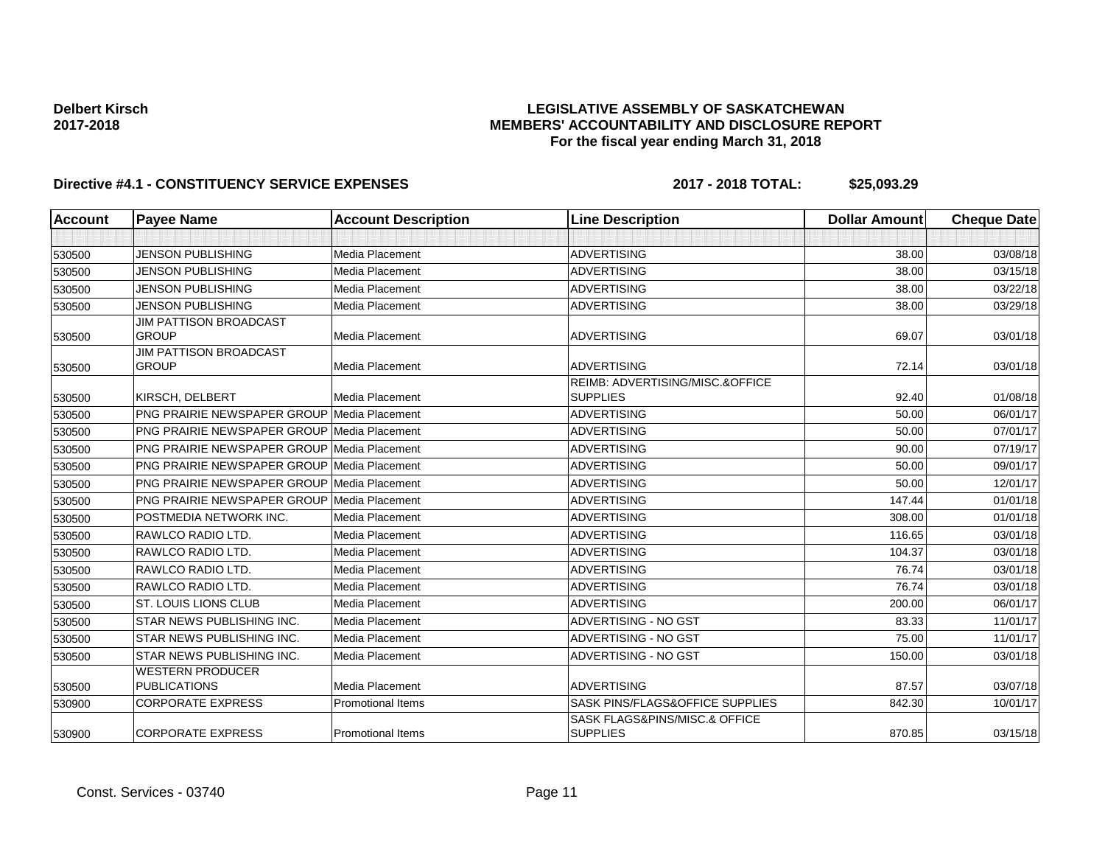### **LEGISLATIVE ASSEMBLY OF SASKATCHEWAN MEMBERS' ACCOUNTABILITY AND DISCLOSURE REPORT For the fiscal year ending March 31, 2018**

| <b>Account</b> | <b>Payee Name</b>                                  | <b>Account Description</b> | <b>Line Description</b>                            | <b>Dollar Amount</b> | <b>Cheque Date</b> |
|----------------|----------------------------------------------------|----------------------------|----------------------------------------------------|----------------------|--------------------|
|                |                                                    |                            |                                                    |                      |                    |
| 530500         | <b>JENSON PUBLISHING</b>                           | <b>Media Placement</b>     | <b>ADVERTISING</b>                                 | 38.00                | 03/08/18           |
| 530500         | <b>JENSON PUBLISHING</b>                           | <b>Media Placement</b>     | <b>ADVERTISING</b>                                 | 38.00                | 03/15/18           |
| 530500         | <b>JENSON PUBLISHING</b>                           | Media Placement            | <b>ADVERTISING</b>                                 | 38.00                | 03/22/18           |
| 530500         | <b>JENSON PUBLISHING</b>                           | <b>Media Placement</b>     | <b>ADVERTISING</b>                                 | 38.00                | 03/29/18           |
| 530500         | <b>JIM PATTISON BROADCAST</b><br><b>GROUP</b>      | Media Placement            | <b>ADVERTISING</b>                                 | 69.07                | 03/01/18           |
| 530500         | <b>JIM PATTISON BROADCAST</b><br><b>GROUP</b>      | <b>Media Placement</b>     | <b>ADVERTISING</b>                                 | 72.14                | 03/01/18           |
| 530500         | KIRSCH, DELBERT                                    | Media Placement            | REIMB: ADVERTISING/MISC.&OFFICE<br><b>SUPPLIES</b> | 92.40                | 01/08/18           |
| 530500         | <b>PNG PRAIRIE NEWSPAPER GROUP Media Placement</b> |                            | <b>ADVERTISING</b>                                 | 50.00                | 06/01/17           |
| 530500         | <b>PNG PRAIRIE NEWSPAPER GROUP Media Placement</b> |                            | <b>ADVERTISING</b>                                 | 50.00                | 07/01/17           |
| 530500         | <b>PNG PRAIRIE NEWSPAPER GROUP Media Placement</b> |                            | <b>ADVERTISING</b>                                 | 90.00                | 07/19/17           |
| 530500         | <b>PNG PRAIRIE NEWSPAPER GROUP Media Placement</b> |                            | <b>ADVERTISING</b>                                 | 50.00                | 09/01/17           |
| 530500         | <b>PNG PRAIRIE NEWSPAPER GROUP Media Placement</b> |                            | <b>ADVERTISING</b>                                 | 50.00                | 12/01/17           |
| 530500         | PNG PRAIRIE NEWSPAPER GROUP Media Placement        |                            | <b>ADVERTISING</b>                                 | 147.44               | 01/01/18           |
| 530500         | POSTMEDIA NETWORK INC.                             | <b>Media Placement</b>     | <b>ADVERTISING</b>                                 | 308.00               | 01/01/18           |
| 530500         | <b>RAWLCO RADIO LTD.</b>                           | Media Placement            | <b>ADVERTISING</b>                                 | 116.65               | 03/01/18           |
| 530500         | RAWLCO RADIO LTD.                                  | Media Placement            | <b>ADVERTISING</b>                                 | 104.37               | 03/01/18           |
| 530500         | <b>RAWLCO RADIO LTD.</b>                           | Media Placement            | <b>ADVERTISING</b>                                 | 76.74                | 03/01/18           |
| 530500         | RAWLCO RADIO LTD.                                  | Media Placement            | <b>ADVERTISING</b>                                 | 76.74                | 03/01/18           |
| 530500         | <b>ST. LOUIS LIONS CLUB</b>                        | <b>Media Placement</b>     | <b>ADVERTISING</b>                                 | 200.00               | 06/01/17           |
| 530500         | <b>STAR NEWS PUBLISHING INC.</b>                   | Media Placement            | ADVERTISING - NO GST                               | 83.33                | 11/01/17           |
| 530500         | STAR NEWS PUBLISHING INC.                          | <b>Media Placement</b>     | ADVERTISING - NO GST                               | 75.00                | 11/01/17           |
| 530500         | STAR NEWS PUBLISHING INC.                          | Media Placement            | ADVERTISING - NO GST                               | 150.00               | 03/01/18           |
| 530500         | <b>WESTERN PRODUCER</b><br><b>PUBLICATIONS</b>     | Media Placement            | <b>ADVERTISING</b>                                 | 87.57                | 03/07/18           |
| 530900         | <b>CORPORATE EXPRESS</b>                           | <b>Promotional Items</b>   | SASK PINS/FLAGS&OFFICE SUPPLIES                    | 842.30               | 10/01/17           |
| 530900         | <b>CORPORATE EXPRESS</b>                           | <b>Promotional Items</b>   | SASK FLAGS&PINS/MISC.& OFFICE<br><b>SUPPLIES</b>   | 870.85               | 03/15/18           |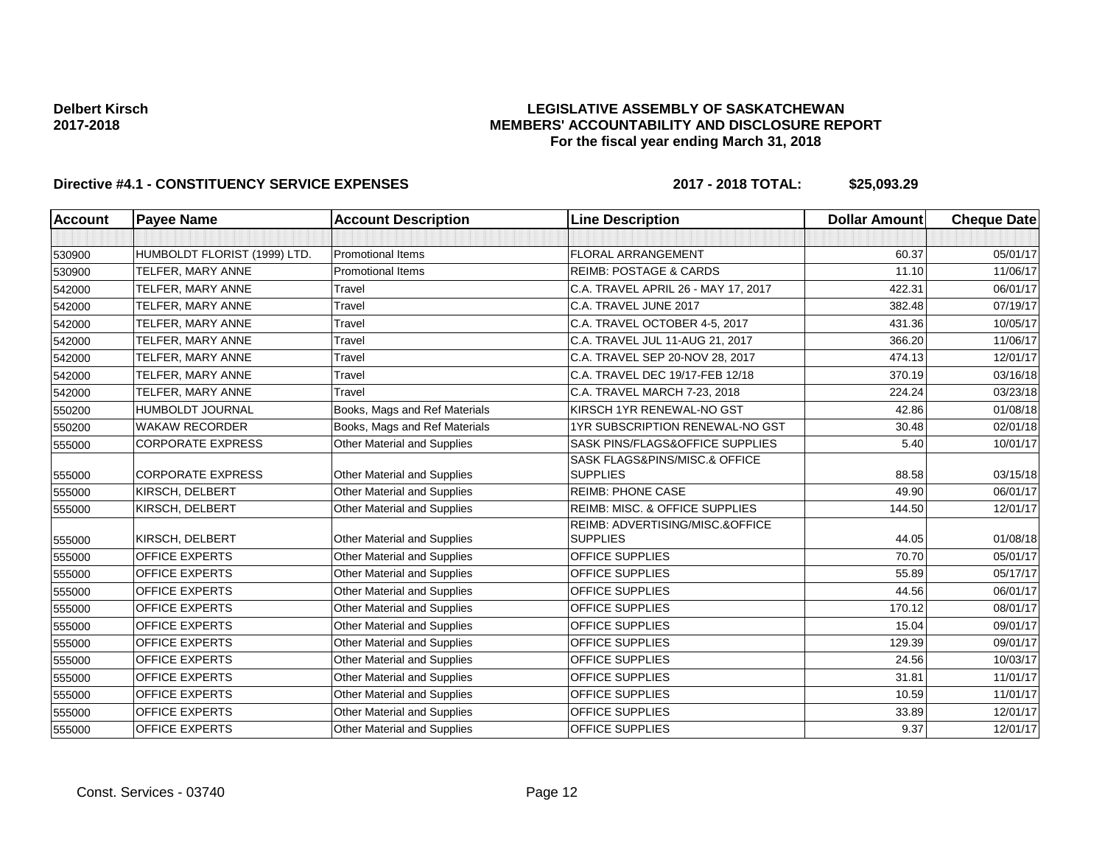### **LEGISLATIVE ASSEMBLY OF SASKATCHEWAN MEMBERS' ACCOUNTABILITY AND DISCLOSURE REPORT For the fiscal year ending March 31, 2018**

| <b>Account</b> | <b>Payee Name</b>            | <b>Account Description</b>         | <b>Line Description</b>                            | <b>Dollar Amount</b> | <b>Cheque Date</b> |
|----------------|------------------------------|------------------------------------|----------------------------------------------------|----------------------|--------------------|
|                |                              |                                    |                                                    |                      |                    |
| 530900         | HUMBOLDT FLORIST (1999) LTD. | <b>Promotional Items</b>           | <b>FLORAL ARRANGEMENT</b>                          | 60.37                | 05/01/17           |
| 530900         | TELFER, MARY ANNE            | <b>Promotional Items</b>           | <b>REIMB: POSTAGE &amp; CARDS</b>                  | 11.10                | 11/06/17           |
| 542000         | TELFER, MARY ANNE            | Travel                             | C.A. TRAVEL APRIL 26 - MAY 17, 2017                | 422.31               | 06/01/17           |
| 542000         | TELFER, MARY ANNE            | Travel                             | C.A. TRAVEL JUNE 2017                              | 382.48               | 07/19/17           |
| 542000         | TELFER, MARY ANNE            | Travel                             | C.A. TRAVEL OCTOBER 4-5, 2017                      | 431.36               | 10/05/17           |
| 542000         | TELFER, MARY ANNE            | Travel                             | C.A. TRAVEL JUL 11-AUG 21, 2017                    | 366.20               | 11/06/17           |
| 542000         | TELFER, MARY ANNE            | Travel                             | C.A. TRAVEL SEP 20-NOV 28, 2017                    | 474.13               | 12/01/17           |
| 542000         | TELFER, MARY ANNE            | Travel                             | C.A. TRAVEL DEC 19/17-FEB 12/18                    | 370.19               | 03/16/18           |
| 542000         | TELFER, MARY ANNE            | Travel                             | C.A. TRAVEL MARCH 7-23, 2018                       | 224.24               | 03/23/18           |
| 550200         | HUMBOLDT JOURNAL             | Books, Mags and Ref Materials      | KIRSCH 1YR RENEWAL-NO GST                          | 42.86                | 01/08/18           |
| 550200         | <b>WAKAW RECORDER</b>        | Books, Mags and Ref Materials      | 1YR SUBSCRIPTION RENEWAL-NO GST                    | 30.48                | 02/01/18           |
| 555000         | <b>CORPORATE EXPRESS</b>     | Other Material and Supplies        | SASK PINS/FLAGS&OFFICE SUPPLIES                    | 5.40                 | 10/01/17           |
|                |                              |                                    | SASK FLAGS&PINS/MISC.& OFFICE                      |                      |                    |
| 555000         | <b>CORPORATE EXPRESS</b>     | Other Material and Supplies        | <b>SUPPLIES</b>                                    | 88.58                | 03/15/18           |
| 555000         | KIRSCH, DELBERT              | <b>Other Material and Supplies</b> | <b>REIMB: PHONE CASE</b>                           | 49.90                | 06/01/17           |
| 555000         | KIRSCH, DELBERT              | Other Material and Supplies        | REIMB: MISC. & OFFICE SUPPLIES                     | 144.50               | 12/01/17           |
| 555000         | KIRSCH, DELBERT              | Other Material and Supplies        | REIMB: ADVERTISING/MISC.&OFFICE<br><b>SUPPLIES</b> | 44.05                | 01/08/18           |
| 555000         | <b>OFFICE EXPERTS</b>        | <b>Other Material and Supplies</b> | <b>OFFICE SUPPLIES</b>                             | 70.70                | 05/01/17           |
| 555000         | <b>OFFICE EXPERTS</b>        | Other Material and Supplies        | <b>OFFICE SUPPLIES</b>                             | 55.89                | 05/17/17           |
| 555000         | OFFICE EXPERTS               | Other Material and Supplies        | OFFICE SUPPLIES                                    | 44.56                | 06/01/17           |
| 555000         | <b>OFFICE EXPERTS</b>        | Other Material and Supplies        | OFFICE SUPPLIES                                    | 170.12               | 08/01/17           |
| 555000         | <b>OFFICE EXPERTS</b>        | <b>Other Material and Supplies</b> | <b>OFFICE SUPPLIES</b>                             | 15.04                | 09/01/17           |
| 555000         | <b>OFFICE EXPERTS</b>        | Other Material and Supplies        | <b>OFFICE SUPPLIES</b>                             | 129.39               | 09/01/17           |
| 555000         | <b>OFFICE EXPERTS</b>        | Other Material and Supplies        | <b>OFFICE SUPPLIES</b>                             | 24.56                | 10/03/17           |
| 555000         | <b>OFFICE EXPERTS</b>        | Other Material and Supplies        | <b>OFFICE SUPPLIES</b>                             | 31.81                | 11/01/17           |
| 555000         | <b>OFFICE EXPERTS</b>        | Other Material and Supplies        | <b>OFFICE SUPPLIES</b>                             | 10.59                | 11/01/17           |
| 555000         | <b>OFFICE EXPERTS</b>        | Other Material and Supplies        | OFFICE SUPPLIES                                    | 33.89                | 12/01/17           |
| 555000         | <b>OFFICE EXPERTS</b>        | Other Material and Supplies        | <b>OFFICE SUPPLIES</b>                             | 9.37                 | 12/01/17           |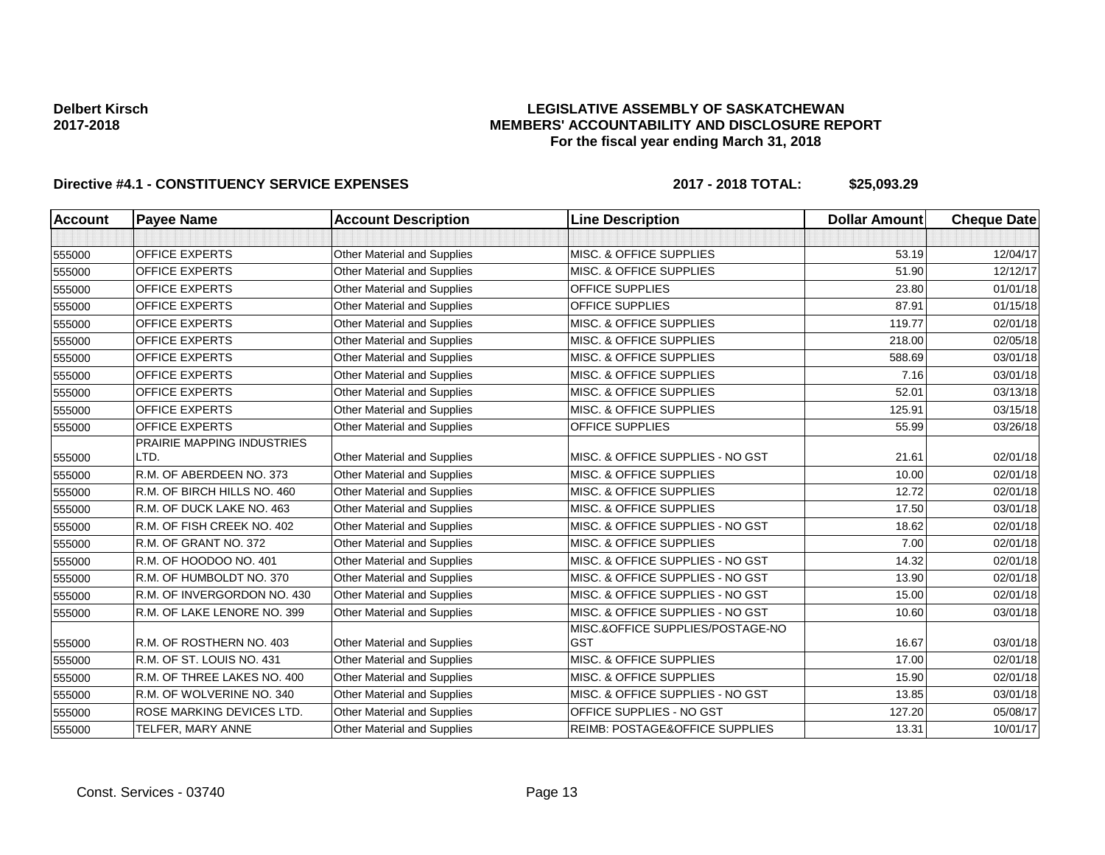### **LEGISLATIVE ASSEMBLY OF SASKATCHEWAN MEMBERS' ACCOUNTABILITY AND DISCLOSURE REPORT For the fiscal year ending March 31, 2018**

| Account | <b>Payee Name</b>                 | <b>Account Description</b>         | <b>Line Description</b>            | <b>Dollar Amount</b> | <b>Cheque Date</b> |
|---------|-----------------------------------|------------------------------------|------------------------------------|----------------------|--------------------|
|         |                                   |                                    |                                    |                      |                    |
| 555000  | <b>OFFICE EXPERTS</b>             | Other Material and Supplies        | <b>MISC. &amp; OFFICE SUPPLIES</b> | 53.19                | 12/04/17           |
| 555000  | <b>OFFICE EXPERTS</b>             | Other Material and Supplies        | <b>MISC. &amp; OFFICE SUPPLIES</b> | 51.90                | 12/12/17           |
| 555000  | <b>OFFICE EXPERTS</b>             | <b>Other Material and Supplies</b> | <b>OFFICE SUPPLIES</b>             | 23.80                | 01/01/18           |
| 555000  | <b>OFFICE EXPERTS</b>             | Other Material and Supplies        | <b>OFFICE SUPPLIES</b>             | 87.91                | 01/15/18           |
| 555000  | <b>OFFICE EXPERTS</b>             | Other Material and Supplies        | MISC. & OFFICE SUPPLIES            | 119.77               | 02/01/18           |
| 555000  | <b>OFFICE EXPERTS</b>             | <b>Other Material and Supplies</b> | <b>MISC. &amp; OFFICE SUPPLIES</b> | 218.00               | 02/05/18           |
| 555000  | <b>OFFICE EXPERTS</b>             | Other Material and Supplies        | MISC. & OFFICE SUPPLIES            | 588.69               | 03/01/18           |
| 555000  | <b>OFFICE EXPERTS</b>             | Other Material and Supplies        | MISC. & OFFICE SUPPLIES            | 7.16                 | 03/01/18           |
| 555000  | <b>OFFICE EXPERTS</b>             | <b>Other Material and Supplies</b> | MISC. & OFFICE SUPPLIES            | 52.01                | 03/13/18           |
| 555000  | <b>OFFICE EXPERTS</b>             | Other Material and Supplies        | MISC. & OFFICE SUPPLIES            | 125.91               | 03/15/18           |
| 555000  | <b>OFFICE EXPERTS</b>             | Other Material and Supplies        | <b>OFFICE SUPPLIES</b>             | 55.99                | 03/26/18           |
|         | <b>PRAIRIE MAPPING INDUSTRIES</b> |                                    |                                    |                      |                    |
| 555000  | LTD.                              | Other Material and Supplies        | MISC. & OFFICE SUPPLIES - NO GST   | 21.61                | 02/01/18           |
| 555000  | R.M. OF ABERDEEN NO. 373          | <b>Other Material and Supplies</b> | MISC. & OFFICE SUPPLIES            | 10.00                | 02/01/18           |
| 555000  | R.M. OF BIRCH HILLS NO. 460       | Other Material and Supplies        | MISC. & OFFICE SUPPLIES            | 12.72                | 02/01/18           |
| 555000  | R.M. OF DUCK LAKE NO. 463         | Other Material and Supplies        | MISC. & OFFICE SUPPLIES            | 17.50                | 03/01/18           |
| 555000  | R.M. OF FISH CREEK NO. 402        | Other Material and Supplies        | MISC. & OFFICE SUPPLIES - NO GST   | 18.62                | 02/01/18           |
| 555000  | R.M. OF GRANT NO. 372             | Other Material and Supplies        | <b>MISC. &amp; OFFICE SUPPLIES</b> | 7.00                 | 02/01/18           |
| 555000  | R.M. OF HOODOO NO. 401            | Other Material and Supplies        | MISC. & OFFICE SUPPLIES - NO GST   | 14.32                | 02/01/18           |
| 555000  | R.M. OF HUMBOLDT NO. 370          | <b>Other Material and Supplies</b> | MISC. & OFFICE SUPPLIES - NO GST   | 13.90                | 02/01/18           |
| 555000  | R.M. OF INVERGORDON NO. 430       | Other Material and Supplies        | MISC. & OFFICE SUPPLIES - NO GST   | 15.00                | 02/01/18           |
| 555000  | R.M. OF LAKE LENORE NO. 399       | <b>Other Material and Supplies</b> | MISC. & OFFICE SUPPLIES - NO GST   | 10.60                | 03/01/18           |
|         |                                   |                                    | MISC.&OFFICE SUPPLIES/POSTAGE-NO   |                      |                    |
| 555000  | R.M. OF ROSTHERN NO. 403          | Other Material and Supplies        | <b>GST</b>                         | 16.67                | 03/01/18           |
| 555000  | R.M. OF ST. LOUIS NO. 431         | Other Material and Supplies        | MISC. & OFFICE SUPPLIES            | 17.00                | 02/01/18           |
| 555000  | R.M. OF THREE LAKES NO. 400       | Other Material and Supplies        | MISC. & OFFICE SUPPLIES            | 15.90                | 02/01/18           |
| 555000  | R.M. OF WOLVERINE NO. 340         | Other Material and Supplies        | MISC. & OFFICE SUPPLIES - NO GST   | 13.85                | 03/01/18           |
| 555000  | ROSE MARKING DEVICES LTD.         | Other Material and Supplies        | OFFICE SUPPLIES - NO GST           | 127.20               | 05/08/17           |
| 555000  | TELFER, MARY ANNE                 | Other Material and Supplies        | REIMB: POSTAGE&OFFICE SUPPLIES     | 13.31                | 10/01/17           |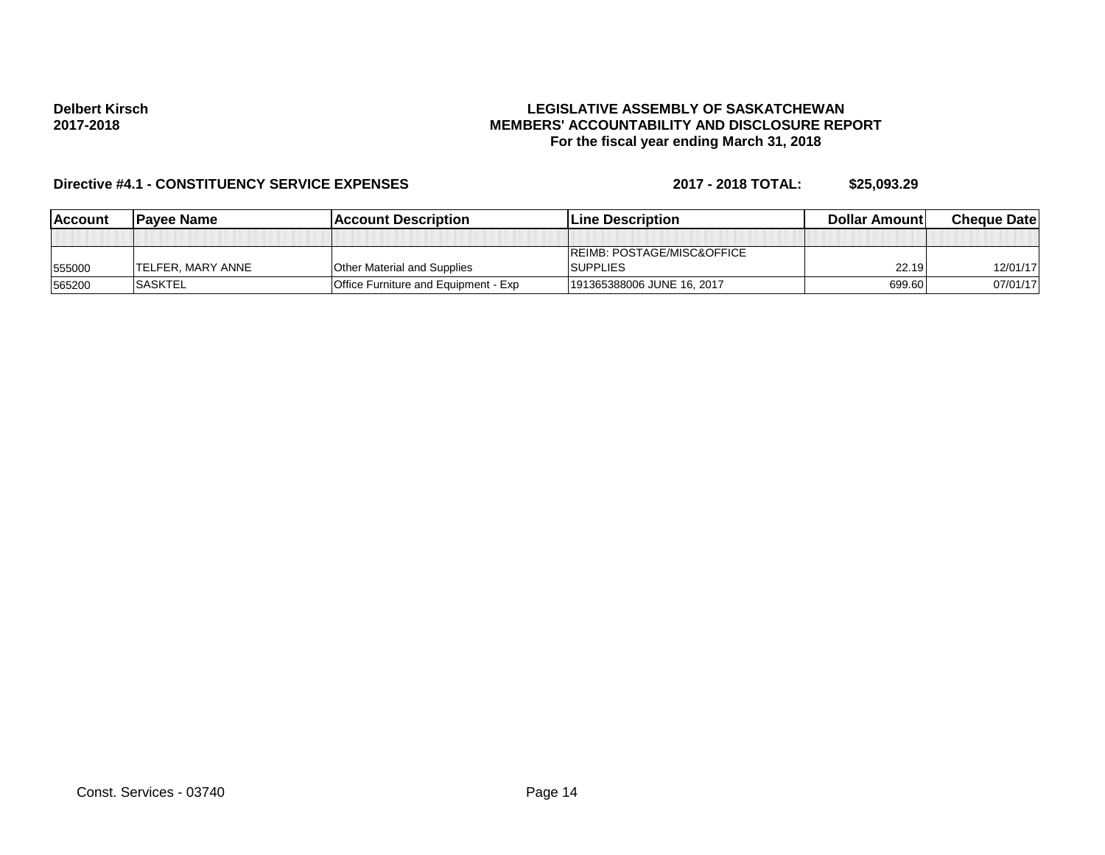### **LEGISLATIVE ASSEMBLY OF SASKATCHEWAN MEMBERS' ACCOUNTABILITY AND DISCLOSURE REPORT For the fiscal year ending March 31, 2018**

| <b>IAccount</b> | <b>IPavee Name</b>        | <b>IAccount Description</b>          | <b>ILine Description</b>              | <b>Dollar Amountl</b> | <b>Cheque Datel</b> |
|-----------------|---------------------------|--------------------------------------|---------------------------------------|-----------------------|---------------------|
|                 |                           |                                      |                                       |                       |                     |
|                 |                           |                                      | <b>REIMB: POSTAGE/MISC&amp;OFFICE</b> |                       |                     |
| 555000          | <b>ITELFER. MARY ANNE</b> | <b>Other Material and Supplies</b>   | <b>SUPPLIES</b>                       | 22.19                 | 12/01/17            |
| 565200          | <b>SASKTEL</b>            | Office Furniture and Equipment - Exp | 191365388006 JUNE 16, 2017            | 699.60                | 07/01/17            |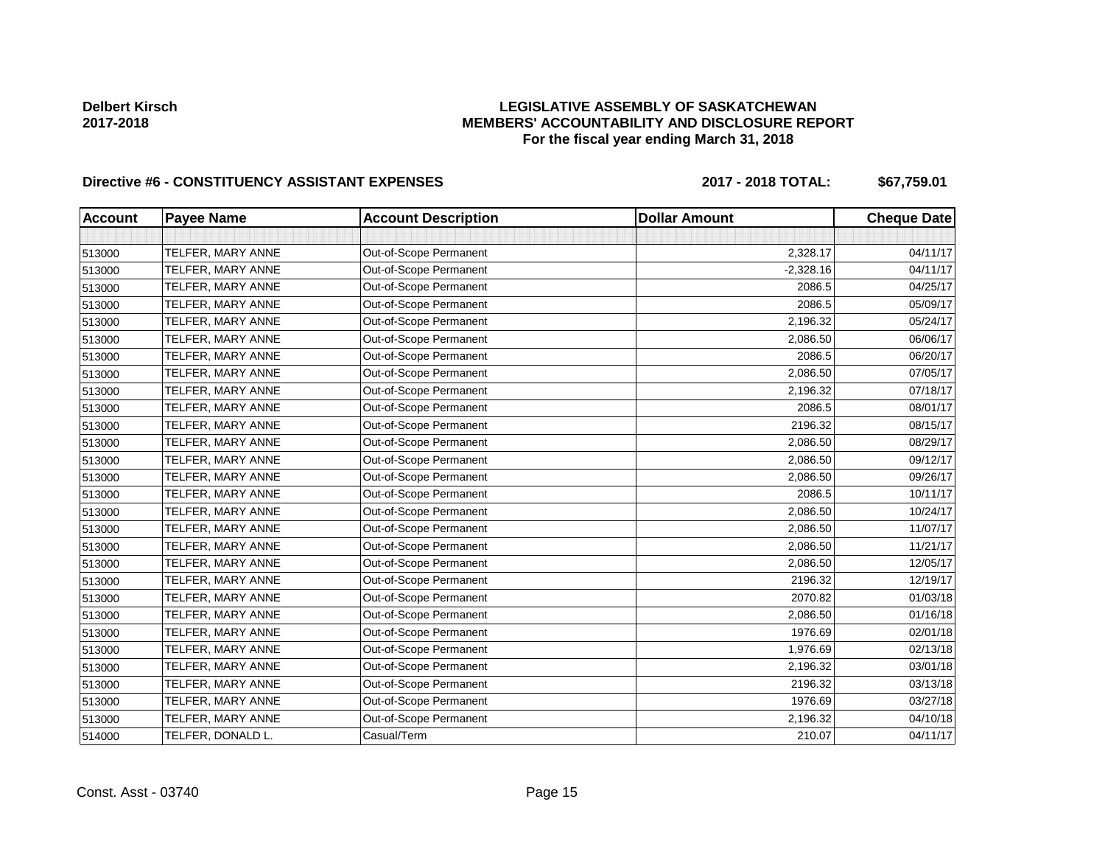## **LEGISLATIVE ASSEMBLY OF SASKATCHEWAN MEMBERS' ACCOUNTABILITY AND DISCLOSURE REPORT For the fiscal year ending March 31, 2018**

# Directive #6 - CONSTITUENCY ASSISTANT EXPENSES 2017 - 2018 TOTAL: \$67,759.01

| <b>Account</b> | <b>Payee Name</b> | <b>Account Description</b> | <b>Dollar Amount</b> | <b>Cheque Date</b> |
|----------------|-------------------|----------------------------|----------------------|--------------------|
|                |                   |                            |                      |                    |
| 513000         | TELFER, MARY ANNE | Out-of-Scope Permanent     | 2,328.17             | 04/11/17           |
| 513000         | TELFER, MARY ANNE | Out-of-Scope Permanent     | $-2,328.16$          | 04/11/17           |
| 513000         | TELFER, MARY ANNE | Out-of-Scope Permanent     | 2086.5               | 04/25/17           |
| 513000         | TELFER, MARY ANNE | Out-of-Scope Permanent     | 2086.5               | 05/09/17           |
| 513000         | TELFER, MARY ANNE | Out-of-Scope Permanent     | 2,196.32             | 05/24/17           |
| 513000         | TELFER, MARY ANNE | Out-of-Scope Permanent     | 2,086.50             | 06/06/17           |
| 513000         | TELFER, MARY ANNE | Out-of-Scope Permanent     | 2086.5               | 06/20/17           |
| 513000         | TELFER, MARY ANNE | Out-of-Scope Permanent     | 2,086.50             | 07/05/17           |
| 513000         | TELFER, MARY ANNE | Out-of-Scope Permanent     | 2,196.32             | 07/18/17           |
| 513000         | TELFER, MARY ANNE | Out-of-Scope Permanent     | 2086.5               | 08/01/17           |
| 513000         | TELFER, MARY ANNE | Out-of-Scope Permanent     | 2196.32              | 08/15/17           |
| 513000         | TELFER, MARY ANNE | Out-of-Scope Permanent     | 2,086.50             | 08/29/17           |
| 513000         | TELFER, MARY ANNE | Out-of-Scope Permanent     | 2,086.50             | 09/12/17           |
| 513000         | TELFER, MARY ANNE | Out-of-Scope Permanent     | 2,086.50             | 09/26/17           |
| 513000         | TELFER, MARY ANNE | Out-of-Scope Permanent     | 2086.5               | 10/11/17           |
| 513000         | TELFER, MARY ANNE | Out-of-Scope Permanent     | 2,086.50             | 10/24/17           |
| 513000         | TELFER, MARY ANNE | Out-of-Scope Permanent     | 2,086.50             | 11/07/17           |
| 513000         | TELFER, MARY ANNE | Out-of-Scope Permanent     | 2,086.50             | 11/21/17           |
| 513000         | TELFER, MARY ANNE | Out-of-Scope Permanent     | 2,086.50             | 12/05/17           |
| 513000         | TELFER, MARY ANNE | Out-of-Scope Permanent     | 2196.32              | 12/19/17           |
| 513000         | TELFER, MARY ANNE | Out-of-Scope Permanent     | 2070.82              | 01/03/18           |
| 513000         | TELFER, MARY ANNE | Out-of-Scope Permanent     | 2,086.50             | 01/16/18           |
| 513000         | TELFER, MARY ANNE | Out-of-Scope Permanent     | 1976.69              | 02/01/18           |
| 513000         | TELFER, MARY ANNE | Out-of-Scope Permanent     | 1,976.69             | 02/13/18           |
| 513000         | TELFER, MARY ANNE | Out-of-Scope Permanent     | 2,196.32             | 03/01/18           |
| 513000         | TELFER, MARY ANNE | Out-of-Scope Permanent     | 2196.32              | 03/13/18           |
| 513000         | TELFER, MARY ANNE | Out-of-Scope Permanent     | 1976.69              | 03/27/18           |
| 513000         | TELFER, MARY ANNE | Out-of-Scope Permanent     | 2,196.32             | 04/10/18           |
| 514000         | TELFER, DONALD L. | Casual/Term                | 210.07               | 04/11/17           |